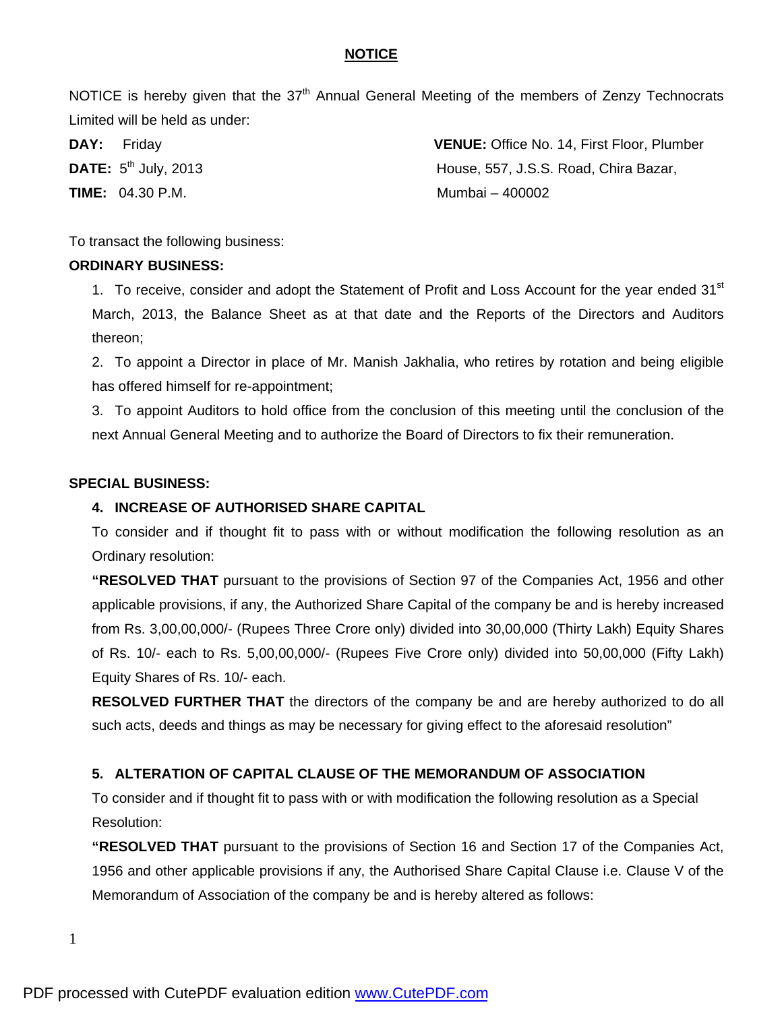#### **NOTICE**

NOTICE is hereby given that the  $37<sup>th</sup>$  Annual General Meeting of the members of Zenzy Technocrats Limited will be held as under:

**DAY:** Friday **VENUE:** Office No. 14, First Floor, Plumber **DATE:**  $5^{th}$  July, 2013 **House, 557, J.S.S. Road, Chira Bazar, TIME:** 04.30 P.M. **Mumbai – 400002** 

To transact the following business:

#### **ORDINARY BUSINESS:**

1. To receive, consider and adopt the Statement of Profit and Loss Account for the year ended 31<sup>st</sup> March, 2013, the Balance Sheet as at that date and the Reports of the Directors and Auditors thereon;

2. To appoint a Director in place of Mr. Manish Jakhalia, who retires by rotation and being eligible has offered himself for re-appointment;

3. To appoint Auditors to hold office from the conclusion of this meeting until the conclusion of the next Annual General Meeting and to authorize the Board of Directors to fix their remuneration.

#### **SPECIAL BUSINESS:**

#### **4. INCREASE OF AUTHORISED SHARE CAPITAL**

To consider and if thought fit to pass with or without modification the following resolution as an Ordinary resolution:

**"RESOLVED THAT** pursuant to the provisions of Section 97 of the Companies Act, 1956 and other applicable provisions, if any, the Authorized Share Capital of the company be and is hereby increased from Rs. 3,00,00,000/- (Rupees Three Crore only) divided into 30,00,000 (Thirty Lakh) Equity Shares of Rs. 10/- each to Rs. 5,00,00,000/- (Rupees Five Crore only) divided into 50,00,000 (Fifty Lakh) Equity Shares of Rs. 10/- each.

**RESOLVED FURTHER THAT** the directors of the company be and are hereby authorized to do all such acts, deeds and things as may be necessary for giving effect to the aforesaid resolution"

#### **5. ALTERATION OF CAPITAL CLAUSE OF THE MEMORANDUM OF ASSOCIATION**

To consider and if thought fit to pass with or with modification the following resolution as a Special Resolution:

**"RESOLVED THAT** pursuant to the provisions of Section 16 and Section 17 of the Companies Act, 1956 and other applicable provisions if any, the Authorised Share Capital Clause i.e. Clause V of the Memorandum of Association of the company be and is hereby altered as follows: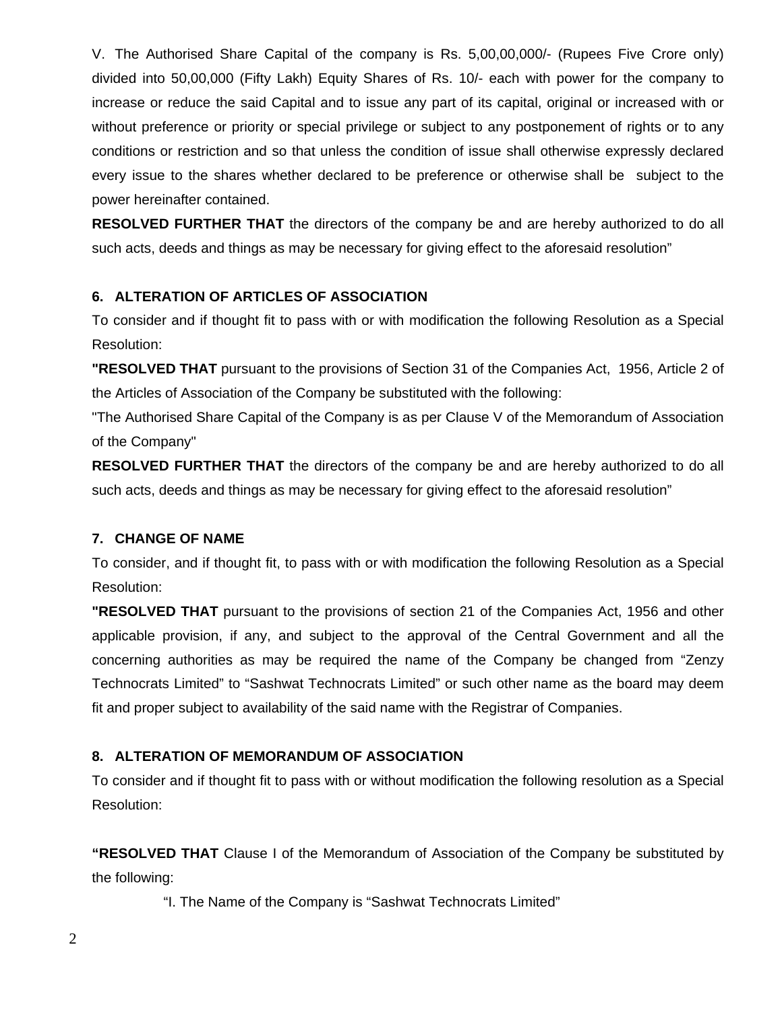V. The Authorised Share Capital of the company is Rs. 5,00,00,000/- (Rupees Five Crore only) divided into 50,00,000 (Fifty Lakh) Equity Shares of Rs. 10/- each with power for the company to increase or reduce the said Capital and to issue any part of its capital, original or increased with or without preference or priority or special privilege or subject to any postponement of rights or to any conditions or restriction and so that unless the condition of issue shall otherwise expressly declared every issue to the shares whether declared to be preference or otherwise shall be subject to the power hereinafter contained.

**RESOLVED FURTHER THAT** the directors of the company be and are hereby authorized to do all such acts, deeds and things as may be necessary for giving effect to the aforesaid resolution"

# **6. ALTERATION OF ARTICLES OF ASSOCIATION**

To consider and if thought fit to pass with or with modification the following Resolution as a Special Resolution:

**"RESOLVED THAT** pursuant to the provisions of Section 31 of the Companies Act, 1956, Article 2 of the Articles of Association of the Company be substituted with the following:

"The Authorised Share Capital of the Company is as per Clause V of the Memorandum of Association of the Company"

**RESOLVED FURTHER THAT** the directors of the company be and are hereby authorized to do all such acts, deeds and things as may be necessary for giving effect to the aforesaid resolution"

#### **7. CHANGE OF NAME**

To consider, and if thought fit, to pass with or with modification the following Resolution as a Special Resolution:

**"RESOLVED THAT** pursuant to the provisions of section 21 of the Companies Act, 1956 and other applicable provision, if any, and subject to the approval of the Central Government and all the concerning authorities as may be required the name of the Company be changed from "Zenzy Technocrats Limited" to "Sashwat Technocrats Limited" or such other name as the board may deem fit and proper subject to availability of the said name with the Registrar of Companies.

#### **8. ALTERATION OF MEMORANDUM OF ASSOCIATION**

To consider and if thought fit to pass with or without modification the following resolution as a Special Resolution:

**"RESOLVED THAT** Clause I of the Memorandum of Association of the Company be substituted by the following:

"I. The Name of the Company is "Sashwat Technocrats Limited"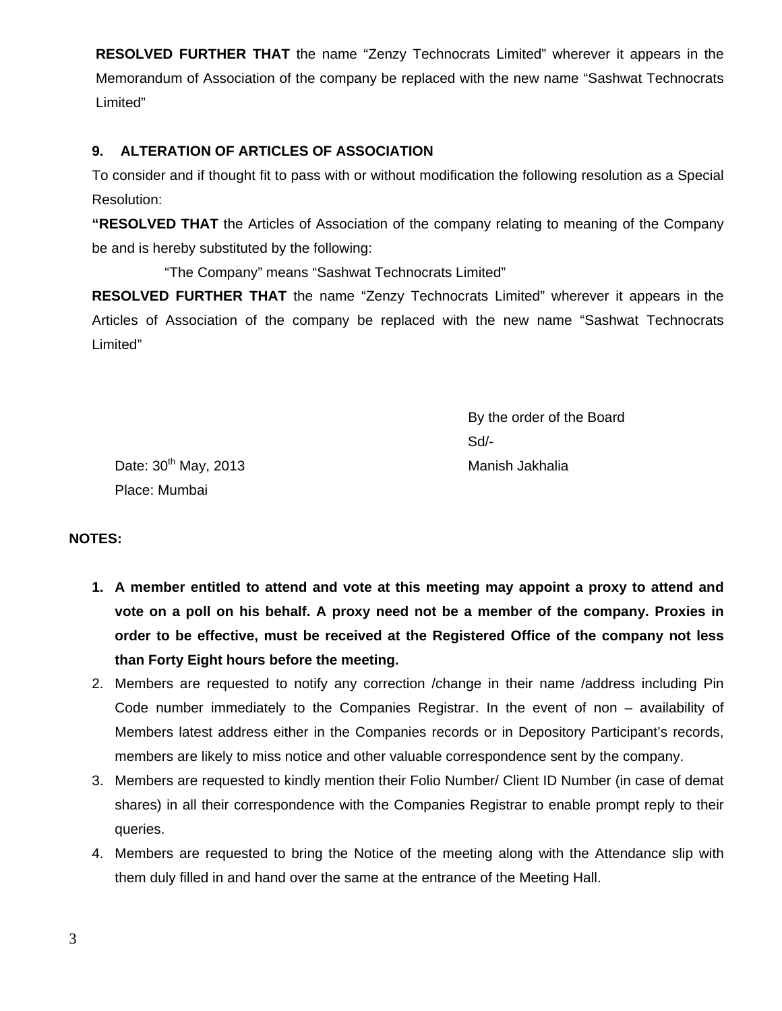**RESOLVED FURTHER THAT** the name "Zenzy Technocrats Limited" wherever it appears in the Memorandum of Association of the company be replaced with the new name "Sashwat Technocrats Limited"

# **9. ALTERATION OF ARTICLES OF ASSOCIATION**

To consider and if thought fit to pass with or without modification the following resolution as a Special Resolution:

**"RESOLVED THAT** the Articles of Association of the company relating to meaning of the Company be and is hereby substituted by the following:

"The Company" means "Sashwat Technocrats Limited"

**RESOLVED FURTHER THAT** the name "Zenzy Technocrats Limited" wherever it appears in the Articles of Association of the company be replaced with the new name "Sashwat Technocrats Limited"

 By the order of the Board Sd/-

Date: 30<sup>th</sup> May, 2013 Manish Jakhalia Place: Mumbai

#### **NOTES:**

- **1. A member entitled to attend and vote at this meeting may appoint a proxy to attend and vote on a poll on his behalf. A proxy need not be a member of the company. Proxies in order to be effective, must be received at the Registered Office of the company not less than Forty Eight hours before the meeting.**
- 2. Members are requested to notify any correction /change in their name /address including Pin Code number immediately to the Companies Registrar. In the event of non – availability of Members latest address either in the Companies records or in Depository Participant's records, members are likely to miss notice and other valuable correspondence sent by the company.
- 3. Members are requested to kindly mention their Folio Number/ Client ID Number (in case of demat shares) in all their correspondence with the Companies Registrar to enable prompt reply to their queries.
- 4. Members are requested to bring the Notice of the meeting along with the Attendance slip with them duly filled in and hand over the same at the entrance of the Meeting Hall.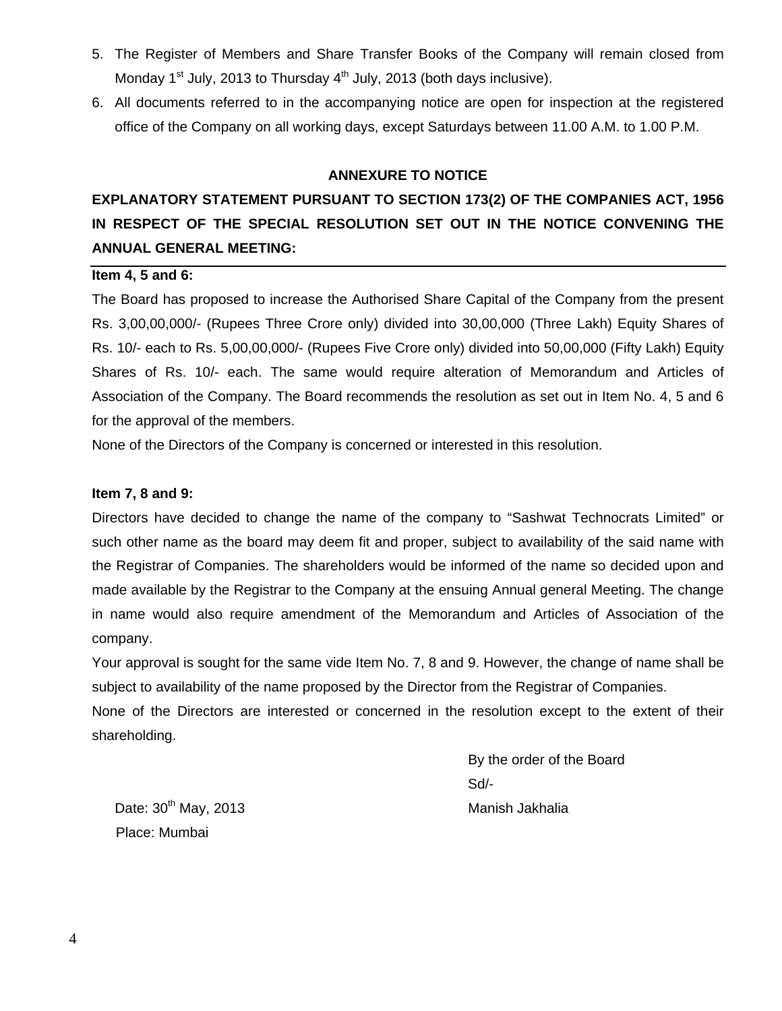- 5. The Register of Members and Share Transfer Books of the Company will remain closed from Monday  $1<sup>st</sup>$  July, 2013 to Thursday  $4<sup>th</sup>$  July, 2013 (both days inclusive).
- 6. All documents referred to in the accompanying notice are open for inspection at the registered office of the Company on all working days, except Saturdays between 11.00 A.M. to 1.00 P.M.

#### **ANNEXURE TO NOTICE**

# **EXPLANATORY STATEMENT PURSUANT TO SECTION 173(2) OF THE COMPANIES ACT, 1956 IN RESPECT OF THE SPECIAL RESOLUTION SET OUT IN THE NOTICE CONVENING THE ANNUAL GENERAL MEETING:**

#### **Item 4, 5 and 6:**

The Board has proposed to increase the Authorised Share Capital of the Company from the present Rs. 3,00,00,000/- (Rupees Three Crore only) divided into 30,00,000 (Three Lakh) Equity Shares of Rs. 10/- each to Rs. 5,00,00,000/- (Rupees Five Crore only) divided into 50,00,000 (Fifty Lakh) Equity Shares of Rs. 10/- each. The same would require alteration of Memorandum and Articles of Association of the Company. The Board recommends the resolution as set out in Item No. 4, 5 and 6 for the approval of the members.

None of the Directors of the Company is concerned or interested in this resolution.

#### **Item 7, 8 and 9:**

Directors have decided to change the name of the company to "Sashwat Technocrats Limited" or such other name as the board may deem fit and proper, subject to availability of the said name with the Registrar of Companies. The shareholders would be informed of the name so decided upon and made available by the Registrar to the Company at the ensuing Annual general Meeting. The change in name would also require amendment of the Memorandum and Articles of Association of the company.

Your approval is sought for the same vide Item No. 7, 8 and 9. However, the change of name shall be subject to availability of the name proposed by the Director from the Registrar of Companies.

None of the Directors are interested or concerned in the resolution except to the extent of their shareholding.

 By the order of the Board Sd/-

Date: 30<sup>th</sup> May, 2013 Manish Jakhalia Place: Mumbai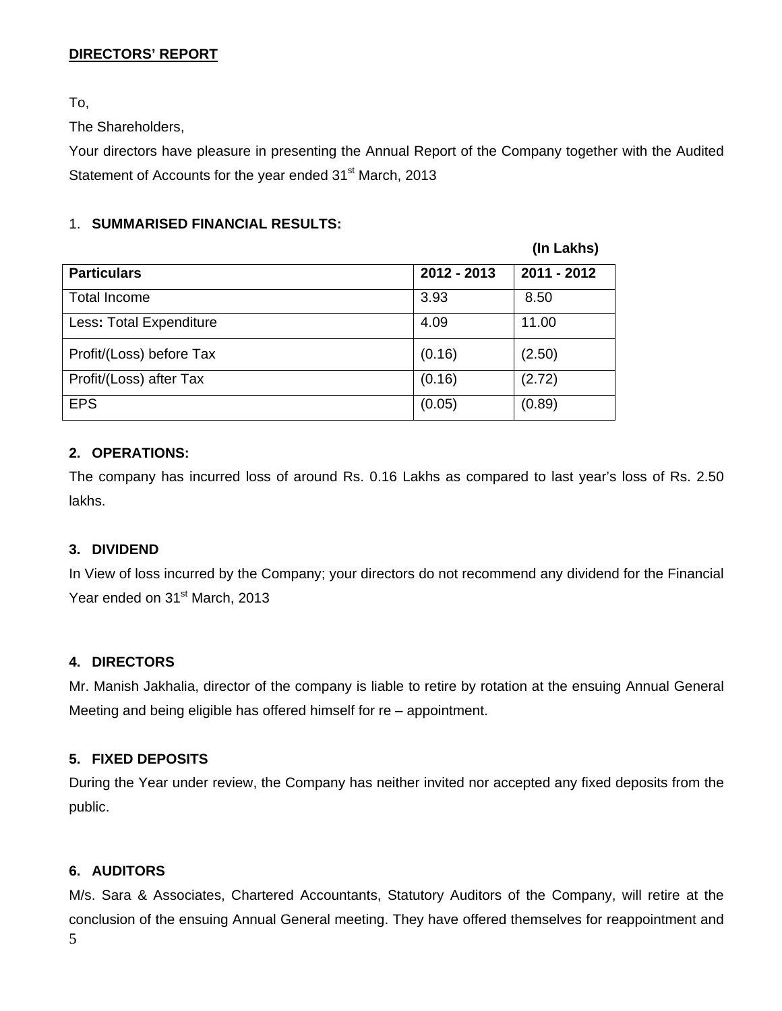# **DIRECTORS' REPORT**

To,

The Shareholders,

Your directors have pleasure in presenting the Annual Report of the Company together with the Audited Statement of Accounts for the year ended 31<sup>st</sup> March, 2013

# 1. **SUMMARISED FINANCIAL RESULTS:**

|                          |             | (In Lakhs)  |
|--------------------------|-------------|-------------|
| <b>Particulars</b>       | 2012 - 2013 | 2011 - 2012 |
| <b>Total Income</b>      | 3.93        | 8.50        |
| Less: Total Expenditure  | 4.09        | 11.00       |
| Profit/(Loss) before Tax | (0.16)      | (2.50)      |
| Profit/(Loss) after Tax  | (0.16)      | (2.72)      |
| <b>EPS</b>               | (0.05)      | (0.89)      |

# **2. OPERATIONS:**

The company has incurred loss of around Rs. 0.16 Lakhs as compared to last year's loss of Rs. 2.50 lakhs.

# **3. DIVIDEND**

In View of loss incurred by the Company; your directors do not recommend any dividend for the Financial Year ended on 31<sup>st</sup> March, 2013

# **4. DIRECTORS**

Mr. Manish Jakhalia, director of the company is liable to retire by rotation at the ensuing Annual General Meeting and being eligible has offered himself for re – appointment.

# **5. FIXED DEPOSITS**

During the Year under review, the Company has neither invited nor accepted any fixed deposits from the public.

# **6. AUDITORS**

5 M/s. Sara & Associates, Chartered Accountants, Statutory Auditors of the Company, will retire at the conclusion of the ensuing Annual General meeting. They have offered themselves for reappointment and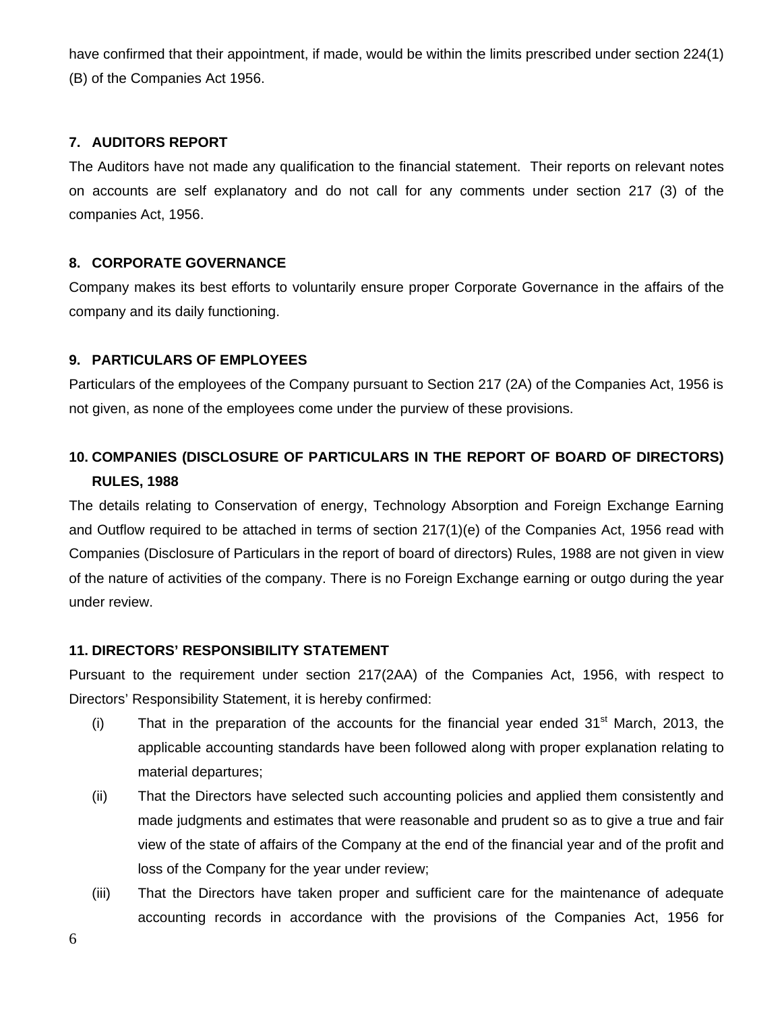have confirmed that their appointment, if made, would be within the limits prescribed under section 224(1) (B) of the Companies Act 1956.

# **7. AUDITORS REPORT**

The Auditors have not made any qualification to the financial statement. Their reports on relevant notes on accounts are self explanatory and do not call for any comments under section 217 (3) of the companies Act, 1956.

# **8. CORPORATE GOVERNANCE**

Company makes its best efforts to voluntarily ensure proper Corporate Governance in the affairs of the company and its daily functioning.

#### **9. PARTICULARS OF EMPLOYEES**

Particulars of the employees of the Company pursuant to Section 217 (2A) of the Companies Act, 1956 is not given, as none of the employees come under the purview of these provisions.

# **10. COMPANIES (DISCLOSURE OF PARTICULARS IN THE REPORT OF BOARD OF DIRECTORS) RULES, 1988**

The details relating to Conservation of energy, Technology Absorption and Foreign Exchange Earning and Outflow required to be attached in terms of section 217(1)(e) of the Companies Act, 1956 read with Companies (Disclosure of Particulars in the report of board of directors) Rules, 1988 are not given in view of the nature of activities of the company. There is no Foreign Exchange earning or outgo during the year under review.

#### **11. DIRECTORS' RESPONSIBILITY STATEMENT**

Pursuant to the requirement under section 217(2AA) of the Companies Act, 1956, with respect to Directors' Responsibility Statement, it is hereby confirmed:

- (i) That in the preparation of the accounts for the financial year ended  $31<sup>st</sup>$  March, 2013, the applicable accounting standards have been followed along with proper explanation relating to material departures;
- (ii) That the Directors have selected such accounting policies and applied them consistently and made judgments and estimates that were reasonable and prudent so as to give a true and fair view of the state of affairs of the Company at the end of the financial year and of the profit and loss of the Company for the year under review;
- (iii) That the Directors have taken proper and sufficient care for the maintenance of adequate accounting records in accordance with the provisions of the Companies Act, 1956 for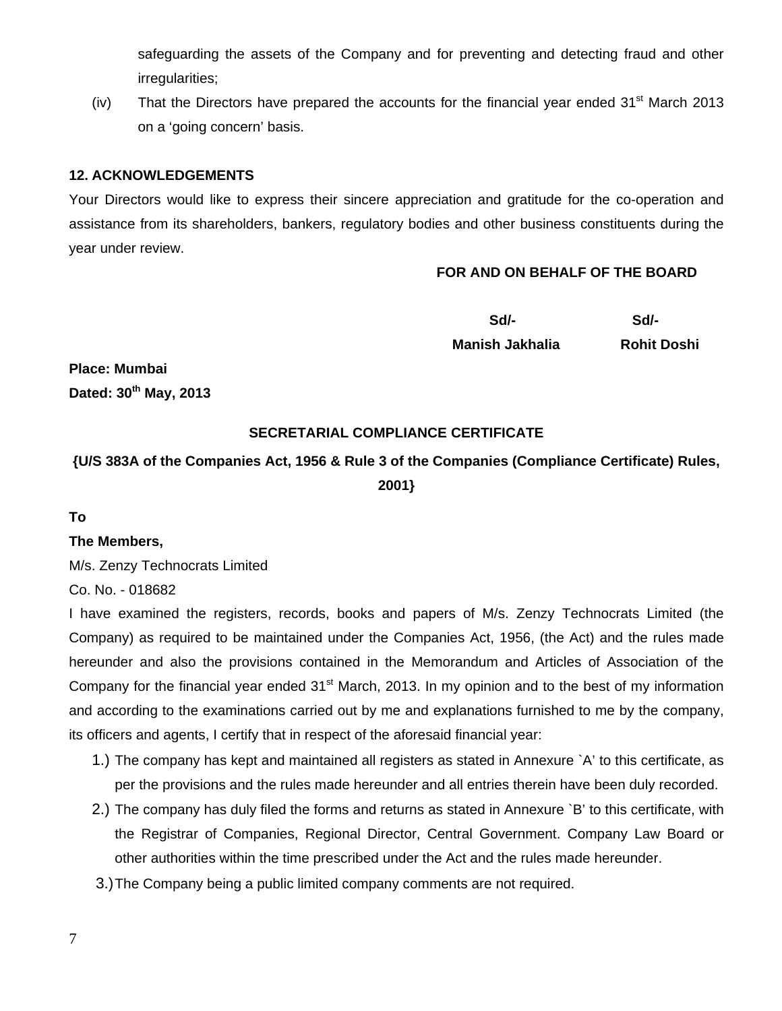safeguarding the assets of the Company and for preventing and detecting fraud and other irregularities;

(iv) That the Directors have prepared the accounts for the financial year ended  $31<sup>st</sup>$  March 2013 on a 'going concern' basis.

## **12. ACKNOWLEDGEMENTS**

Your Directors would like to express their sincere appreciation and gratitude for the co-operation and assistance from its shareholders, bankers, regulatory bodies and other business constituents during the year under review.

#### **FOR AND ON BEHALF OF THE BOARD**

| Sd/-                   | Sd/-               |
|------------------------|--------------------|
| <b>Manish Jakhalia</b> | <b>Rohit Doshi</b> |

**Place: Mumbai Dated: 30th May, 2013** 

#### **SECRETARIAL COMPLIANCE CERTIFICATE**

# **{U/S 383A of the Companies Act, 1956 & Rule 3 of the Companies (Compliance Certificate) Rules, 2001}**

#### **To**

#### **The Members,**

M/s. Zenzy Technocrats Limited

Co. No. - 018682

I have examined the registers, records, books and papers of M/s. Zenzy Technocrats Limited (the Company) as required to be maintained under the Companies Act, 1956, (the Act) and the rules made hereunder and also the provisions contained in the Memorandum and Articles of Association of the Company for the financial year ended 31<sup>st</sup> March, 2013. In my opinion and to the best of my information and according to the examinations carried out by me and explanations furnished to me by the company, its officers and agents, I certify that in respect of the aforesaid financial year:

- 1.) The company has kept and maintained all registers as stated in Annexure `A' to this certificate, as per the provisions and the rules made hereunder and all entries therein have been duly recorded.
- 2.) The company has duly filed the forms and returns as stated in Annexure `B' to this certificate, with the Registrar of Companies, Regional Director, Central Government. Company Law Board or other authorities within the time prescribed under the Act and the rules made hereunder.
- 3.) The Company being a public limited company comments are not required.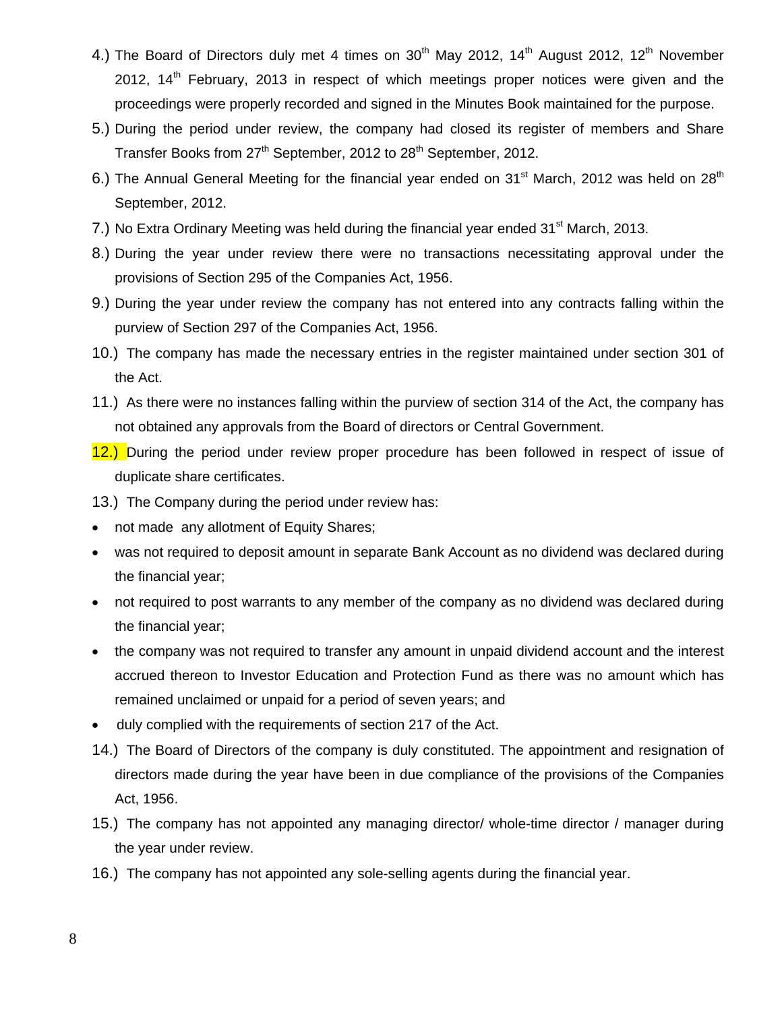- 4.) The Board of Directors duly met 4 times on  $30<sup>th</sup>$  May 2012, 14<sup>th</sup> August 2012, 12<sup>th</sup> November 2012,  $14<sup>th</sup>$  February, 2013 in respect of which meetings proper notices were given and the proceedings were properly recorded and signed in the Minutes Book maintained for the purpose.
- 5.) During the period under review, the company had closed its register of members and Share Transfer Books from  $27<sup>th</sup>$  September, 2012 to  $28<sup>th</sup>$  September, 2012.
- 6.) The Annual General Meeting for the financial year ended on 31<sup>st</sup> March, 2012 was held on 28<sup>th</sup> September, 2012.
- 7.) No Extra Ordinary Meeting was held during the financial year ended 31<sup>st</sup> March, 2013.
- 8.) During the year under review there were no transactions necessitating approval under the provisions of Section 295 of the Companies Act, 1956.
- 9.) During the year under review the company has not entered into any contracts falling within the purview of Section 297 of the Companies Act, 1956.
- 10.) The company has made the necessary entries in the register maintained under section 301 of the Act.
- 11.) As there were no instances falling within the purview of section 314 of the Act, the company has not obtained any approvals from the Board of directors or Central Government.
- 12.) During the period under review proper procedure has been followed in respect of issue of duplicate share certificates.
- 13.) The Company during the period under review has:
- not made any allotment of Equity Shares;
- was not required to deposit amount in separate Bank Account as no dividend was declared during the financial year;
- not required to post warrants to any member of the company as no dividend was declared during the financial year;
- the company was not required to transfer any amount in unpaid dividend account and the interest accrued thereon to Investor Education and Protection Fund as there was no amount which has remained unclaimed or unpaid for a period of seven years; and
- duly complied with the requirements of section 217 of the Act.
- 14.) The Board of Directors of the company is duly constituted. The appointment and resignation of directors made during the year have been in due compliance of the provisions of the Companies Act, 1956.
- 15.) The company has not appointed any managing director/ whole-time director / manager during the year under review.
- 16.) The company has not appointed any sole-selling agents during the financial year.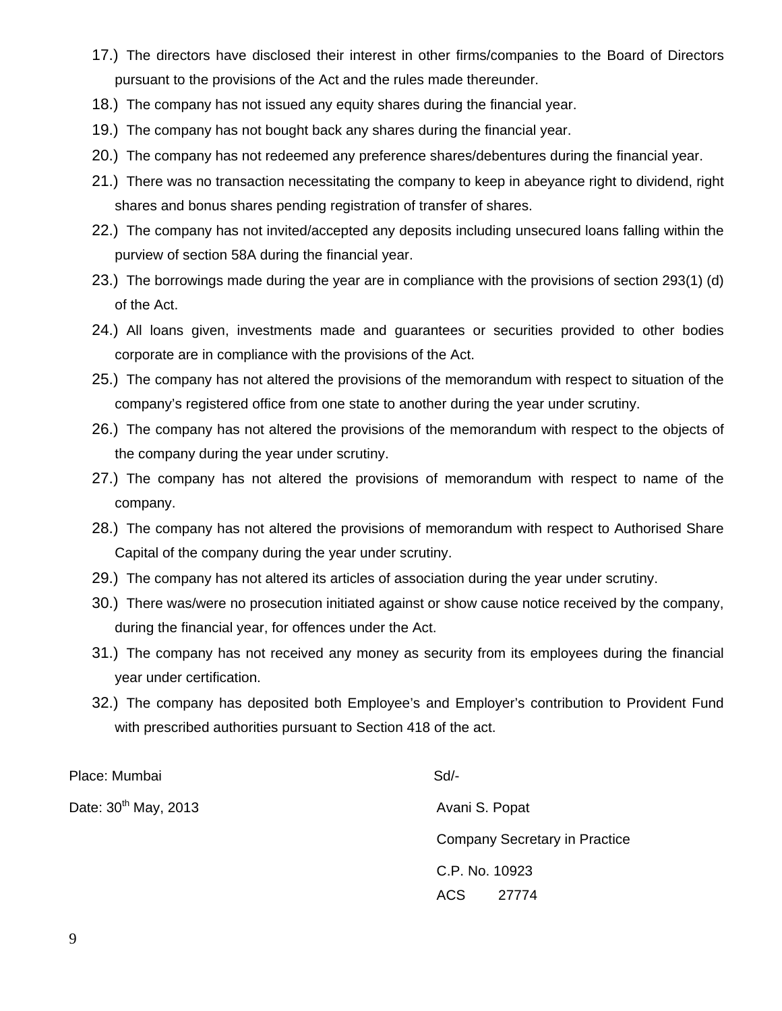- 17.) The directors have disclosed their interest in other firms/companies to the Board of Directors pursuant to the provisions of the Act and the rules made thereunder.
- 18.) The company has not issued any equity shares during the financial year.
- 19.) The company has not bought back any shares during the financial year.
- 20.) The company has not redeemed any preference shares/debentures during the financial year.
- 21.) There was no transaction necessitating the company to keep in abeyance right to dividend, right shares and bonus shares pending registration of transfer of shares.
- 22.) The company has not invited/accepted any deposits including unsecured loans falling within the purview of section 58A during the financial year.
- 23.) The borrowings made during the year are in compliance with the provisions of section 293(1) (d) of the Act.
- 24.) All loans given, investments made and guarantees or securities provided to other bodies corporate are in compliance with the provisions of the Act.
- 25.) The company has not altered the provisions of the memorandum with respect to situation of the company's registered office from one state to another during the year under scrutiny.
- 26.) The company has not altered the provisions of the memorandum with respect to the objects of the company during the year under scrutiny.
- 27.) The company has not altered the provisions of memorandum with respect to name of the company.
- 28.) The company has not altered the provisions of memorandum with respect to Authorised Share Capital of the company during the year under scrutiny.
- 29.) The company has not altered its articles of association during the year under scrutiny.
- 30.) There was/were no prosecution initiated against or show cause notice received by the company, during the financial year, for offences under the Act.
- 31.) The company has not received any money as security from its employees during the financial year under certification.
- 32.) The company has deposited both Employee's and Employer's contribution to Provident Fund with prescribed authorities pursuant to Section 418 of the act.

Place: Mumbai Sd/-

Date: 30<sup>th</sup> May, 2013 *Date: 30<sup>th</sup> May, 2013* **Avani S. Popat** 

Company Secretary in Practice C.P. No. 10923 ACS 27774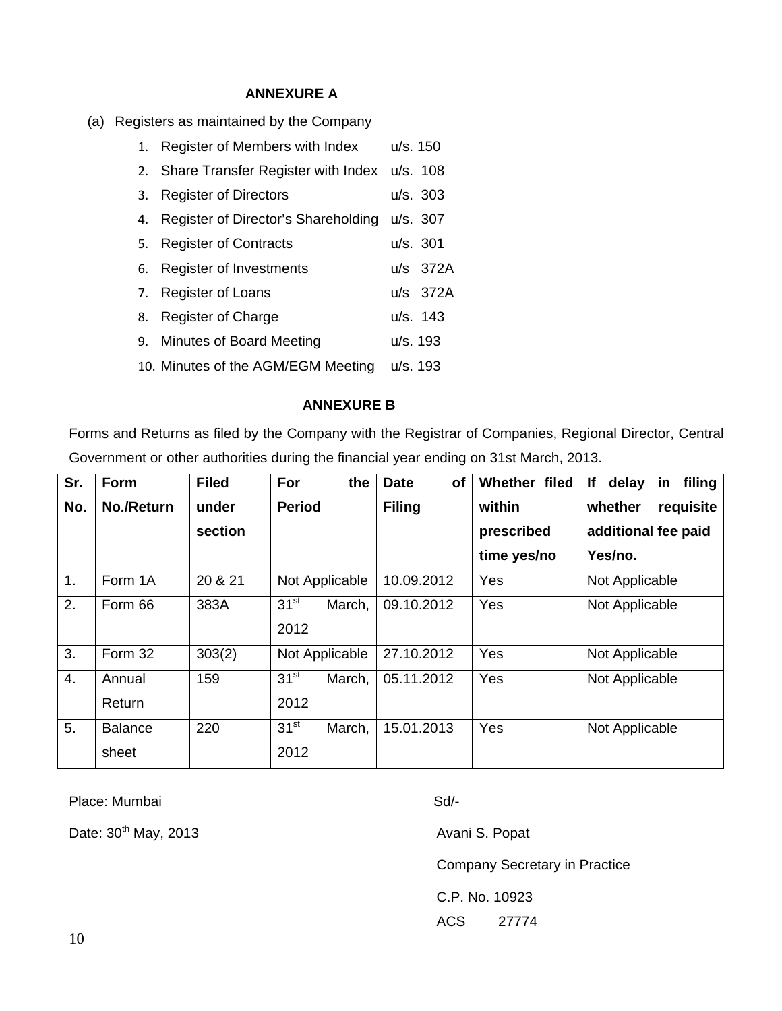# **ANNEXURE A**

(a) Registers as maintained by the Company

| 1. | Register of Members with Index                 | u/s. 150 |            |
|----|------------------------------------------------|----------|------------|
|    | 2. Share Transfer Register with Index u/s. 108 |          |            |
|    | 3. Register of Directors                       |          | u/s. 303   |
| 4. | Register of Director's Shareholding            | u/s. 307 |            |
| 5. | <b>Register of Contracts</b>                   |          | u/s. 301   |
|    | 6. Register of Investments                     |          | u/s 372A   |
|    | 7. Register of Loans                           |          | u/s 372A   |
| 8. | <b>Register of Charge</b>                      |          | $u/s.$ 143 |
|    | 9. Minutes of Board Meeting                    | u/s. 193 |            |
|    | 10. Minutes of the AGM/EGM Meeting             | u/s. 193 |            |

#### **ANNEXURE B**

Forms and Returns as filed by the Company with the Registrar of Companies, Regional Director, Central Government or other authorities during the financial year ending on 31st March, 2013.

| Sr. | Form                    | <b>Filed</b> | For<br>the                         | <b>Date</b><br>of | Whether filed | delay<br>lf.<br>filing<br>in |
|-----|-------------------------|--------------|------------------------------------|-------------------|---------------|------------------------------|
| No. | No./Return              | under        | <b>Period</b>                      | <b>Filing</b>     | within        | whether<br>requisite         |
|     |                         | section      |                                    |                   | prescribed    | additional fee paid          |
|     |                         |              |                                    |                   | time yes/no   | Yes/no.                      |
| 1.  | Form 1A                 | 20 & 21      | Not Applicable                     | 10.09.2012        | Yes           | Not Applicable               |
| 2.  | Form 66                 | 383A         | $31^{st}$<br>March,<br>2012        | 09.10.2012        | Yes           | Not Applicable               |
| 3.  | Form 32                 | 303(2)       | Not Applicable                     | 27.10.2012        | Yes           | Not Applicable               |
| 4.  | Annual<br>Return        | 159          | 31 <sup>st</sup><br>March,<br>2012 | 05.11.2012        | Yes           | Not Applicable               |
| 5.  | <b>Balance</b><br>sheet | 220          | 31 <sup>st</sup><br>March,<br>2012 | 15.01.2013        | Yes           | Not Applicable               |

Place: Mumbai Sd/-

Date: 30<sup>th</sup> May, 2013 *Date: 30<sup>th</sup> May, 2013 Avani S. Popat* 

Company Secretary in Practice

C.P. No. 10923

ACS 27774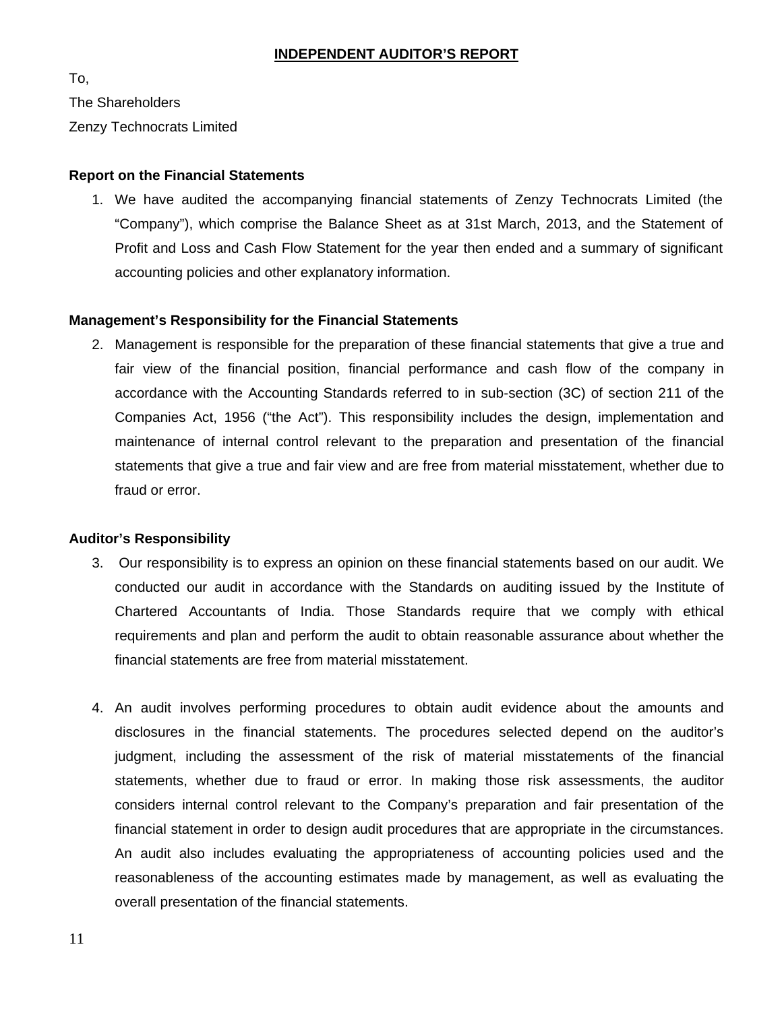#### **INDEPENDENT AUDITOR'S REPORT**

To,

The Shareholders

Zenzy Technocrats Limited

#### **Report on the Financial Statements**

1. We have audited the accompanying financial statements of Zenzy Technocrats Limited (the "Company"), which comprise the Balance Sheet as at 31st March, 2013, and the Statement of Profit and Loss and Cash Flow Statement for the year then ended and a summary of significant accounting policies and other explanatory information.

#### **Management's Responsibility for the Financial Statements**

2. Management is responsible for the preparation of these financial statements that give a true and fair view of the financial position, financial performance and cash flow of the company in accordance with the Accounting Standards referred to in sub-section (3C) of section 211 of the Companies Act, 1956 ("the Act"). This responsibility includes the design, implementation and maintenance of internal control relevant to the preparation and presentation of the financial statements that give a true and fair view and are free from material misstatement, whether due to fraud or error.

#### **Auditor's Responsibility**

- 3. Our responsibility is to express an opinion on these financial statements based on our audit. We conducted our audit in accordance with the Standards on auditing issued by the Institute of Chartered Accountants of India. Those Standards require that we comply with ethical requirements and plan and perform the audit to obtain reasonable assurance about whether the financial statements are free from material misstatement.
- 4. An audit involves performing procedures to obtain audit evidence about the amounts and disclosures in the financial statements. The procedures selected depend on the auditor's judgment, including the assessment of the risk of material misstatements of the financial statements, whether due to fraud or error. In making those risk assessments, the auditor considers internal control relevant to the Company's preparation and fair presentation of the financial statement in order to design audit procedures that are appropriate in the circumstances. An audit also includes evaluating the appropriateness of accounting policies used and the reasonableness of the accounting estimates made by management, as well as evaluating the overall presentation of the financial statements.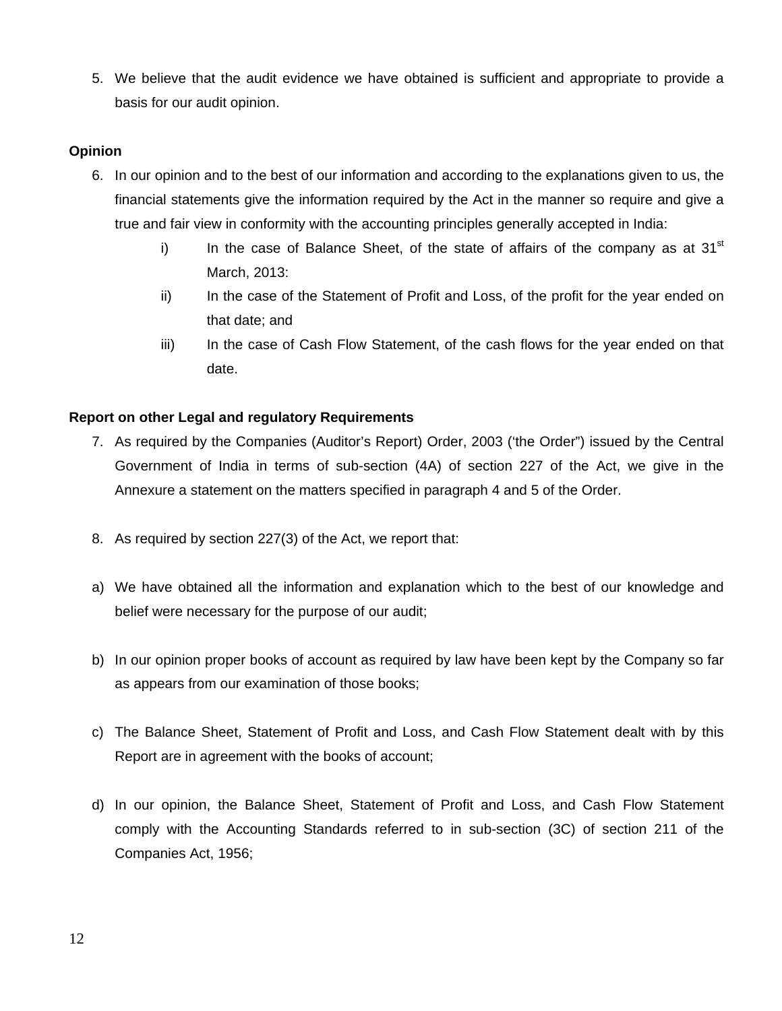5. We believe that the audit evidence we have obtained is sufficient and appropriate to provide a basis for our audit opinion.

# **Opinion**

- 6. In our opinion and to the best of our information and according to the explanations given to us, the financial statements give the information required by the Act in the manner so require and give a true and fair view in conformity with the accounting principles generally accepted in India:
	- i) In the case of Balance Sheet, of the state of affairs of the company as at  $31<sup>st</sup>$ March, 2013:
	- ii) In the case of the Statement of Profit and Loss, of the profit for the year ended on that date; and
	- iii) In the case of Cash Flow Statement, of the cash flows for the year ended on that date.

# **Report on other Legal and regulatory Requirements**

- 7. As required by the Companies (Auditor's Report) Order, 2003 ('the Order") issued by the Central Government of India in terms of sub-section (4A) of section 227 of the Act, we give in the Annexure a statement on the matters specified in paragraph 4 and 5 of the Order.
- 8. As required by section 227(3) of the Act, we report that:
- a) We have obtained all the information and explanation which to the best of our knowledge and belief were necessary for the purpose of our audit;
- b) In our opinion proper books of account as required by law have been kept by the Company so far as appears from our examination of those books;
- c) The Balance Sheet, Statement of Profit and Loss, and Cash Flow Statement dealt with by this Report are in agreement with the books of account;
- d) In our opinion, the Balance Sheet, Statement of Profit and Loss, and Cash Flow Statement comply with the Accounting Standards referred to in sub-section (3C) of section 211 of the Companies Act, 1956;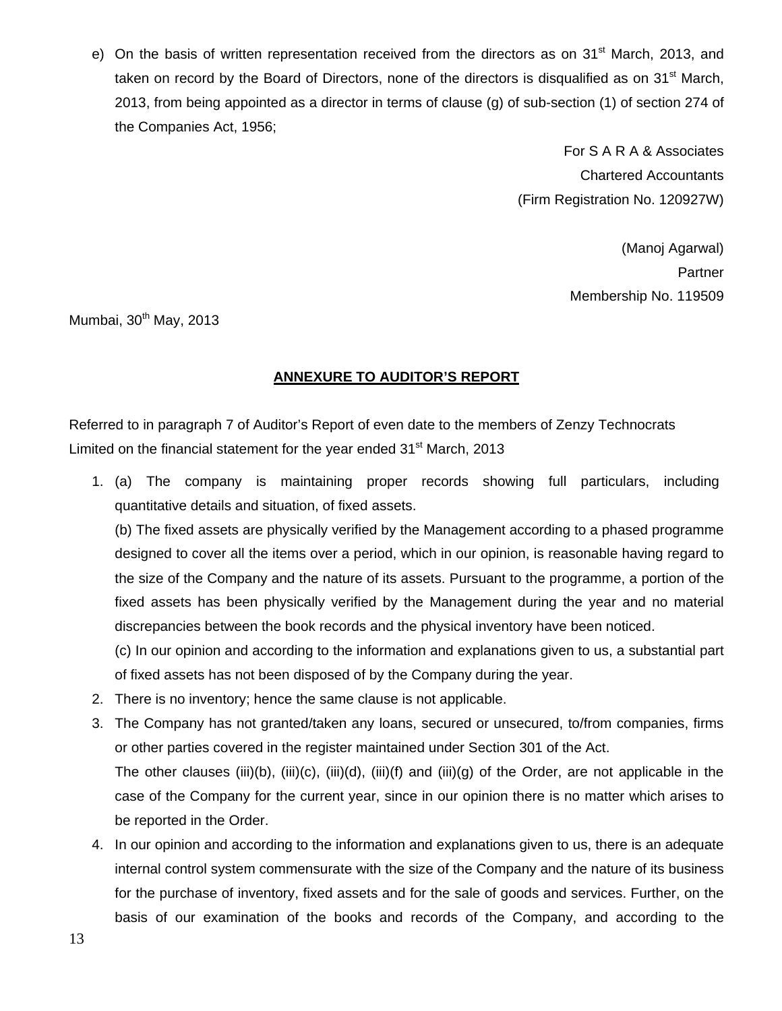e) On the basis of written representation received from the directors as on 31<sup>st</sup> March, 2013, and taken on record by the Board of Directors, none of the directors is disqualified as on 31<sup>st</sup> March, 2013, from being appointed as a director in terms of clause (g) of sub-section (1) of section 274 of the Companies Act, 1956;

> For S A R A & Associates Chartered Accountants (Firm Registration No. 120927W)

> > (Manoj Agarwal) **Partner** Membership No. 119509

Mumbai, 30<sup>th</sup> May, 2013

# **ANNEXURE TO AUDITOR'S REPORT**

Referred to in paragraph 7 of Auditor's Report of even date to the members of Zenzy Technocrats Limited on the financial statement for the year ended  $31<sup>st</sup>$  March, 2013

1. (a) The company is maintaining proper records showing full particulars, including quantitative details and situation, of fixed assets.

(b) The fixed assets are physically verified by the Management according to a phased programme designed to cover all the items over a period, which in our opinion, is reasonable having regard to the size of the Company and the nature of its assets. Pursuant to the programme, a portion of the fixed assets has been physically verified by the Management during the year and no material discrepancies between the book records and the physical inventory have been noticed.

(c) In our opinion and according to the information and explanations given to us, a substantial part of fixed assets has not been disposed of by the Company during the year.

- 2. There is no inventory; hence the same clause is not applicable.
- 3. The Company has not granted/taken any loans, secured or unsecured, to/from companies, firms or other parties covered in the register maintained under Section 301 of the Act. The other clauses (iii)(b), (iii)(c), (iii)(d), (iii)(f) and (iii)(g) of the Order, are not applicable in the case of the Company for the current year, since in our opinion there is no matter which arises to be reported in the Order.
- 4. In our opinion and according to the information and explanations given to us, there is an adequate internal control system commensurate with the size of the Company and the nature of its business for the purchase of inventory, fixed assets and for the sale of goods and services. Further, on the basis of our examination of the books and records of the Company, and according to the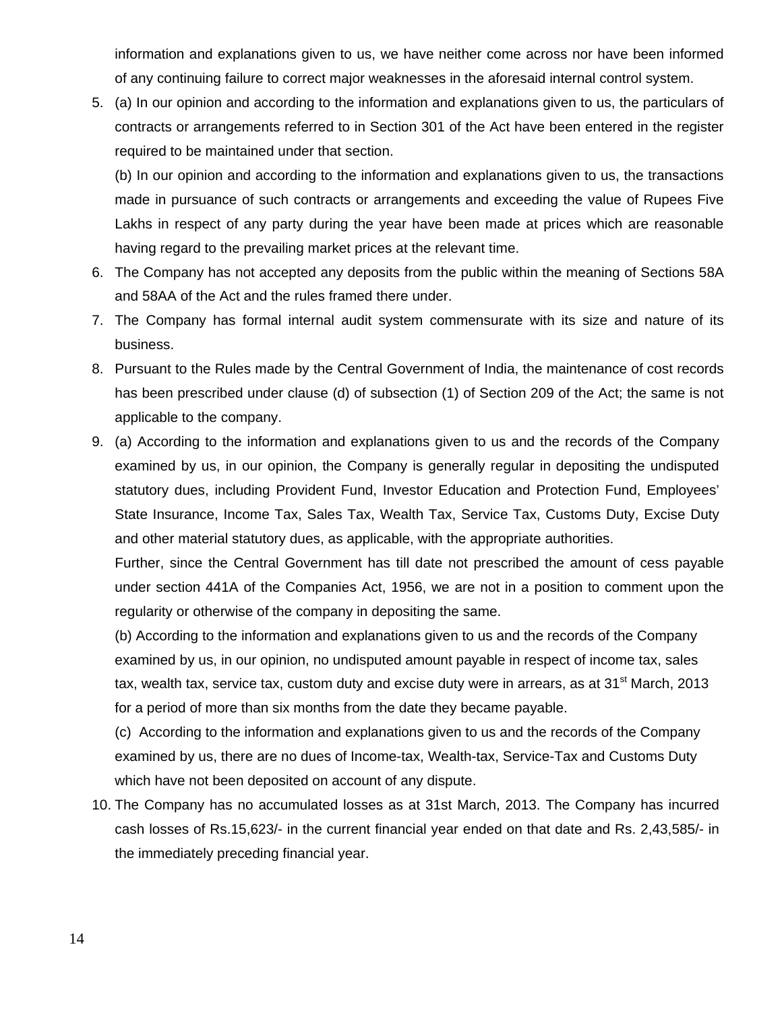information and explanations given to us, we have neither come across nor have been informed of any continuing failure to correct major weaknesses in the aforesaid internal control system.

5. (a) In our opinion and according to the information and explanations given to us, the particulars of contracts or arrangements referred to in Section 301 of the Act have been entered in the register required to be maintained under that section.

(b) In our opinion and according to the information and explanations given to us, the transactions made in pursuance of such contracts or arrangements and exceeding the value of Rupees Five Lakhs in respect of any party during the year have been made at prices which are reasonable having regard to the prevailing market prices at the relevant time.

- 6. The Company has not accepted any deposits from the public within the meaning of Sections 58A and 58AA of the Act and the rules framed there under.
- 7. The Company has formal internal audit system commensurate with its size and nature of its business.
- 8. Pursuant to the Rules made by the Central Government of India, the maintenance of cost records has been prescribed under clause (d) of subsection (1) of Section 209 of the Act; the same is not applicable to the company.
- 9. (a) According to the information and explanations given to us and the records of the Company examined by us, in our opinion, the Company is generally regular in depositing the undisputed statutory dues, including Provident Fund, Investor Education and Protection Fund, Employees' State Insurance, Income Tax, Sales Tax, Wealth Tax, Service Tax, Customs Duty, Excise Duty and other material statutory dues, as applicable, with the appropriate authorities.

Further, since the Central Government has till date not prescribed the amount of cess payable under section 441A of the Companies Act, 1956, we are not in a position to comment upon the regularity or otherwise of the company in depositing the same.

(b) According to the information and explanations given to us and the records of the Company examined by us, in our opinion, no undisputed amount payable in respect of income tax, sales tax, wealth tax, service tax, custom duty and excise duty were in arrears, as at 31<sup>st</sup> March, 2013 for a period of more than six months from the date they became payable.

(c) According to the information and explanations given to us and the records of the Company examined by us, there are no dues of Income-tax, Wealth-tax, Service-Tax and Customs Duty which have not been deposited on account of any dispute.

10. The Company has no accumulated losses as at 31st March, 2013. The Company has incurred cash losses of Rs.15,623/- in the current financial year ended on that date and Rs. 2,43,585/- in the immediately preceding financial year.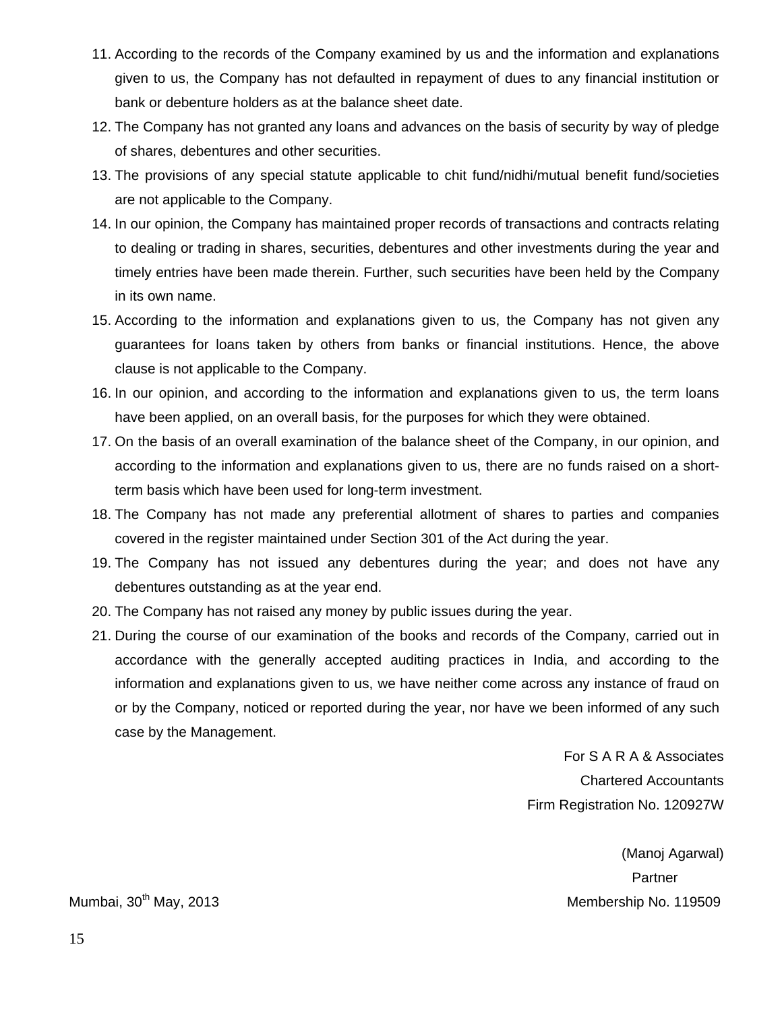- 11. According to the records of the Company examined by us and the information and explanations given to us, the Company has not defaulted in repayment of dues to any financial institution or bank or debenture holders as at the balance sheet date.
- 12. The Company has not granted any loans and advances on the basis of security by way of pledge of shares, debentures and other securities.
- 13. The provisions of any special statute applicable to chit fund/nidhi/mutual benefit fund/societies are not applicable to the Company.
- 14. In our opinion, the Company has maintained proper records of transactions and contracts relating to dealing or trading in shares, securities, debentures and other investments during the year and timely entries have been made therein. Further, such securities have been held by the Company in its own name.
- 15. According to the information and explanations given to us, the Company has not given any guarantees for loans taken by others from banks or financial institutions. Hence, the above clause is not applicable to the Company.
- 16. In our opinion, and according to the information and explanations given to us, the term loans have been applied, on an overall basis, for the purposes for which they were obtained.
- 17. On the basis of an overall examination of the balance sheet of the Company, in our opinion, and according to the information and explanations given to us, there are no funds raised on a shortterm basis which have been used for long-term investment.
- 18. The Company has not made any preferential allotment of shares to parties and companies covered in the register maintained under Section 301 of the Act during the year.
- 19. The Company has not issued any debentures during the year; and does not have any debentures outstanding as at the year end.
- 20. The Company has not raised any money by public issues during the year.
- 21. During the course of our examination of the books and records of the Company, carried out in accordance with the generally accepted auditing practices in India, and according to the information and explanations given to us, we have neither come across any instance of fraud on or by the Company, noticed or reported during the year, nor have we been informed of any such case by the Management.

For S A R A & Associates Chartered Accountants Firm Registration No. 120927W

(Manoj Agarwal) Partner Mumbai, 30<sup>th</sup> May, 2013 Membership No. 119509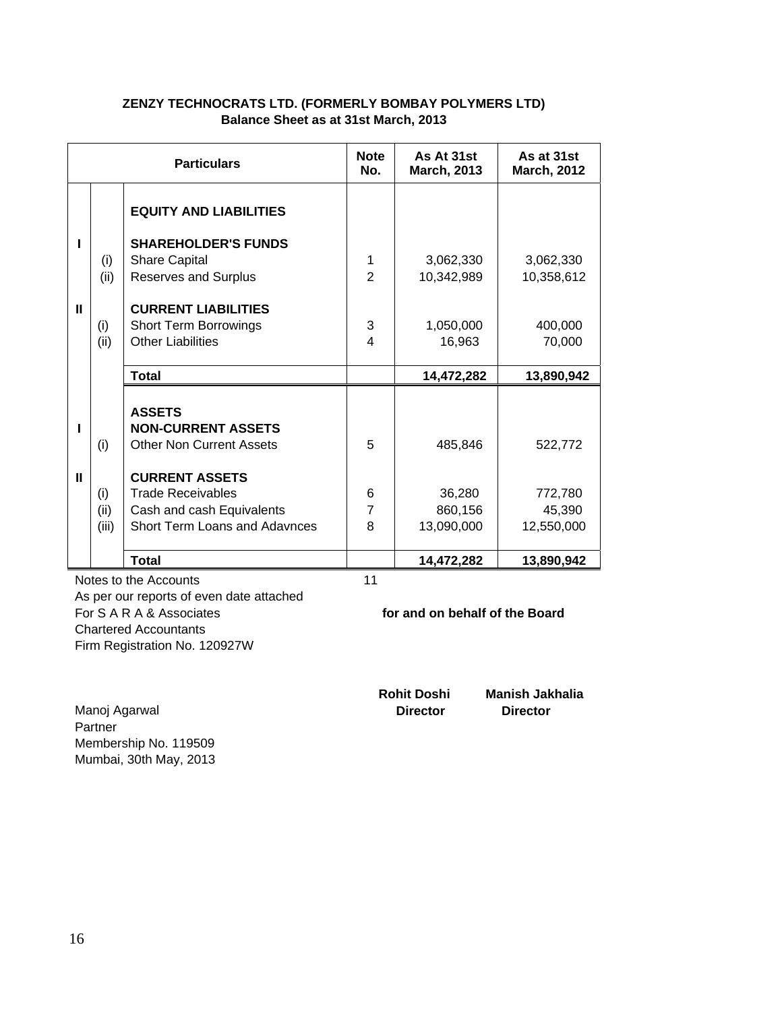|   | <b>Particulars</b> |                                 |                         | As At 31st<br><b>March, 2013</b> | As at 31st<br><b>March, 2012</b> |
|---|--------------------|---------------------------------|-------------------------|----------------------------------|----------------------------------|
|   |                    | <b>EQUITY AND LIABILITIES</b>   |                         |                                  |                                  |
|   |                    | <b>SHAREHOLDER'S FUNDS</b>      |                         |                                  |                                  |
|   | (i)                | <b>Share Capital</b>            | 1                       | 3,062,330                        | 3,062,330                        |
|   | (ii)               | Reserves and Surplus            | $\overline{2}$          | 10,342,989                       | 10,358,612                       |
|   |                    |                                 |                         |                                  |                                  |
| Ш |                    | <b>CURRENT LIABILITIES</b>      |                         |                                  |                                  |
|   | (i)                | <b>Short Term Borrowings</b>    | 3                       | 1,050,000                        | 400,000                          |
|   | (ii)               | <b>Other Liabilities</b>        | $\overline{\mathbf{4}}$ | 16,963                           | 70,000                           |
|   |                    | <b>Total</b>                    |                         | 14,472,282                       | 13,890,942                       |
|   |                    |                                 |                         |                                  |                                  |
|   |                    | <b>ASSETS</b>                   |                         |                                  |                                  |
|   |                    | <b>NON-CURRENT ASSETS</b>       |                         |                                  |                                  |
|   | (i)                | <b>Other Non Current Assets</b> | 5                       | 485,846                          | 522,772                          |
|   |                    |                                 |                         |                                  |                                  |
| Ш |                    | <b>CURRENT ASSETS</b>           |                         |                                  |                                  |
|   | (i)                | <b>Trade Receivables</b>        | 6                       | 36,280                           | 772,780                          |
|   | (ii)               | Cash and cash Equivalents       | 7                       | 860,156                          | 45,390                           |
|   | (iii)              | Short Term Loans and Adavnces   | 8                       | 13,090,000                       | 12,550,000                       |
|   |                    | <b>Total</b>                    |                         | 14,472,282                       | 13,890,942                       |

#### **ZENZY TECHNOCRATS LTD. (FORMERLY BOMBAY POLYMERS LTD) Balance Sheet as at 31st March, 2013**

Notes to the Accounts 11 As per our reports of even date attached For S A R A & Associates **for and on behalf of the Board**  Chartered Accountants Firm Registration No. 120927W

 **Rohit Doshi Manish Jakhalia** 

Manoj Agarwal **Director Director**  Partner Membership No. 119509 Mumbai, 30th May, 2013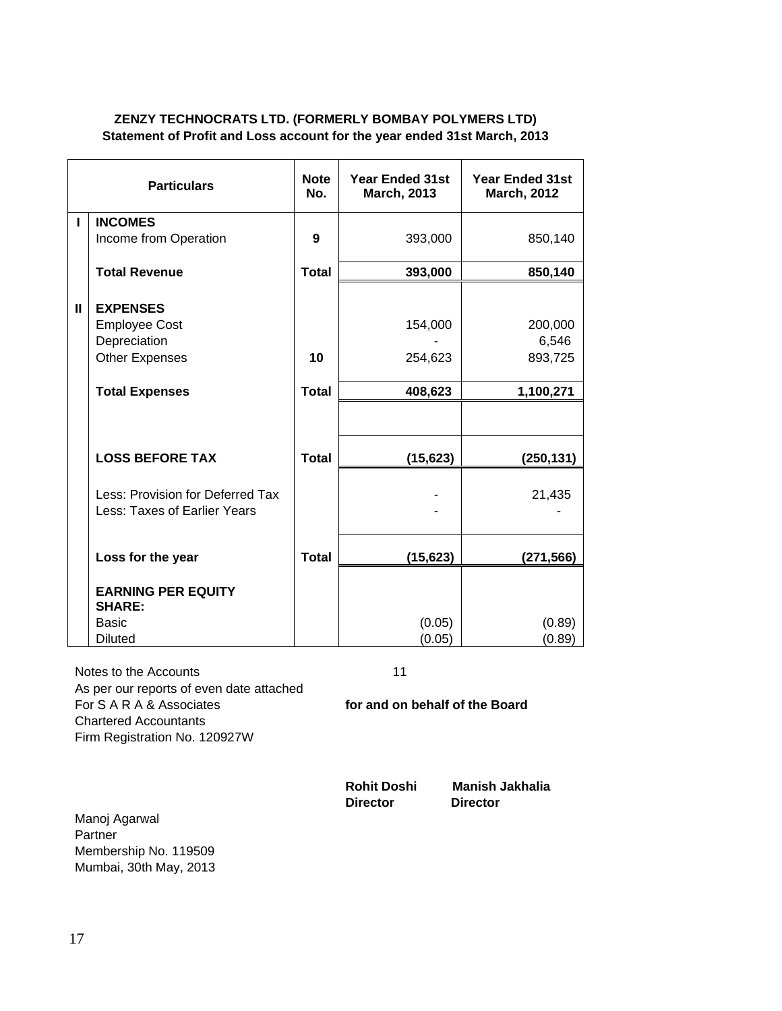#### **ZENZY TECHNOCRATS LTD. (FORMERLY BOMBAY POLYMERS LTD) Statement of Profit and Loss account for the year ended 31st March, 2013**

|   | <b>Particulars</b>                                               | <b>Note</b><br>No. | <b>Year Ended 31st</b><br><b>March, 2013</b> | <b>Year Ended 31st</b><br><b>March, 2012</b> |
|---|------------------------------------------------------------------|--------------------|----------------------------------------------|----------------------------------------------|
| L | <b>INCOMES</b>                                                   |                    |                                              |                                              |
|   | Income from Operation                                            | 9                  | 393,000                                      | 850,140                                      |
|   | <b>Total Revenue</b>                                             | <b>Total</b>       | 393,000                                      | 850,140                                      |
| Ш | <b>EXPENSES</b><br><b>Employee Cost</b><br>Depreciation          | 10                 | 154,000                                      | 200,000<br>6,546<br>893,725                  |
|   | <b>Other Expenses</b>                                            |                    | 254,623                                      |                                              |
|   | <b>Total Expenses</b>                                            | <b>Total</b>       | 408,623                                      | 1,100,271                                    |
|   |                                                                  |                    |                                              |                                              |
|   | <b>LOSS BEFORE TAX</b>                                           | <b>Total</b>       | (15, 623)                                    | (250, 131)                                   |
|   | Less: Provision for Deferred Tax<br>Less: Taxes of Earlier Years |                    |                                              | 21,435                                       |
|   | Loss for the year                                                | <b>Total</b>       | (15, 623)                                    | (271,566)                                    |
|   | <b>EARNING PER EQUITY</b><br><b>SHARE:</b>                       |                    |                                              |                                              |
|   | <b>Basic</b>                                                     |                    | (0.05)                                       | (0.89)                                       |
|   | <b>Diluted</b>                                                   |                    | (0.05)                                       | (0.89)                                       |

Notes to the Accounts 11 As per our reports of even date attached For S A R A & Associates **for and on behalf of the Board**  Chartered Accountants Firm Registration No. 120927W

**Director Director** 

**Rohit Doshi Manish Jakhalia** 

Manoj Agarwal Partner Membership No. 119509 Mumbai, 30th May, 2013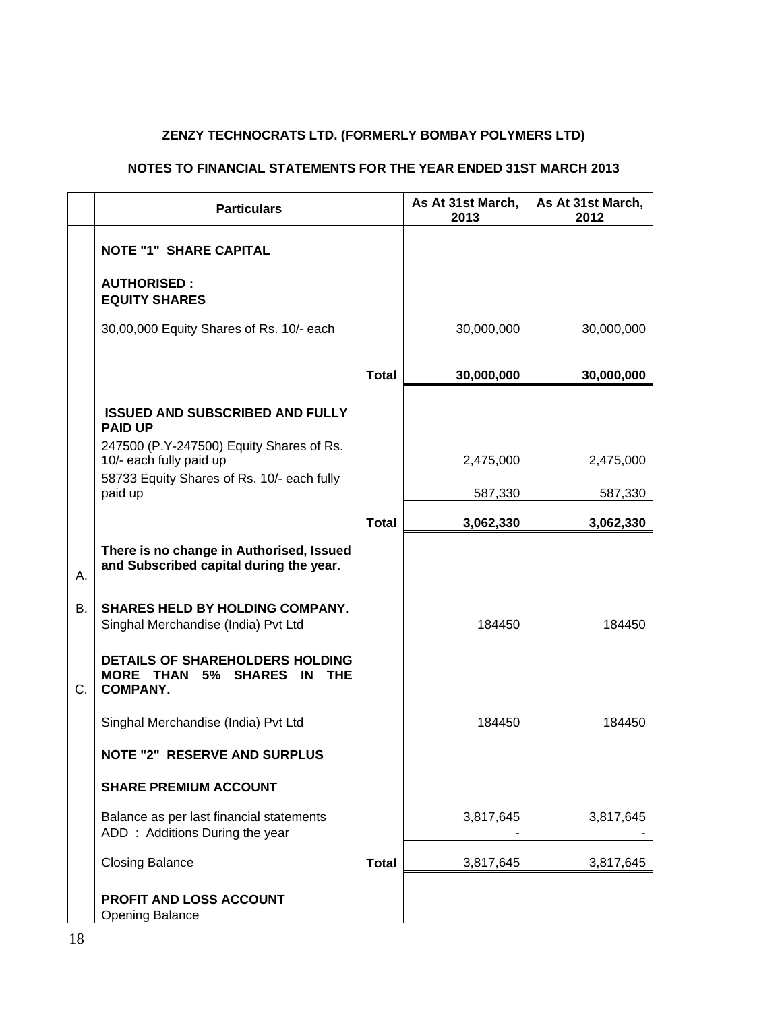# **ZENZY TECHNOCRATS LTD. (FORMERLY BOMBAY POLYMERS LTD)**

## **NOTES TO FINANCIAL STATEMENTS FOR THE YEAR ENDED 31ST MARCH 2013**

|    | <b>Particulars</b>                                                                                |              | As At 31st March,<br>2013 | As At 31st March,<br>2012 |
|----|---------------------------------------------------------------------------------------------------|--------------|---------------------------|---------------------------|
|    | <b>NOTE "1" SHARE CAPITAL</b>                                                                     |              |                           |                           |
|    | <b>AUTHORISED:</b><br><b>EQUITY SHARES</b>                                                        |              |                           |                           |
|    | 30,00,000 Equity Shares of Rs. 10/- each                                                          |              | 30,000,000                | 30,000,000                |
|    |                                                                                                   | <b>Total</b> | 30,000,000                | 30,000,000                |
|    | <b>ISSUED AND SUBSCRIBED AND FULLY</b><br><b>PAID UP</b>                                          |              |                           |                           |
|    | 247500 (P.Y-247500) Equity Shares of Rs.<br>10/- each fully paid up                               |              | 2,475,000                 | 2,475,000                 |
|    | 58733 Equity Shares of Rs. 10/- each fully<br>paid up                                             |              | 587,330                   | 587,330                   |
|    |                                                                                                   | <b>Total</b> | 3,062,330                 | 3,062,330                 |
| Α. | There is no change in Authorised, Issued<br>and Subscribed capital during the year.               |              |                           |                           |
| Β. | SHARES HELD BY HOLDING COMPANY.<br>Singhal Merchandise (India) Pvt Ltd                            |              | 184450                    | 184450                    |
| C. | <b>DETAILS OF SHAREHOLDERS HOLDING</b><br><b>MORE THAN</b><br>5% SHARES IN THE<br><b>COMPANY.</b> |              |                           |                           |
|    | Singhal Merchandise (India) Pvt Ltd                                                               |              | 184450                    | 184450                    |
|    | <b>NOTE "2" RESERVE AND SURPLUS</b>                                                               |              |                           |                           |
|    | <b>SHARE PREMIUM ACCOUNT</b>                                                                      |              |                           |                           |
|    | Balance as per last financial statements<br>ADD: Additions During the year                        |              | 3,817,645                 | 3,817,645                 |
|    | <b>Closing Balance</b>                                                                            | <b>Total</b> | 3,817,645                 | 3,817,645                 |
|    | <b>PROFIT AND LOSS ACCOUNT</b><br><b>Opening Balance</b>                                          |              |                           |                           |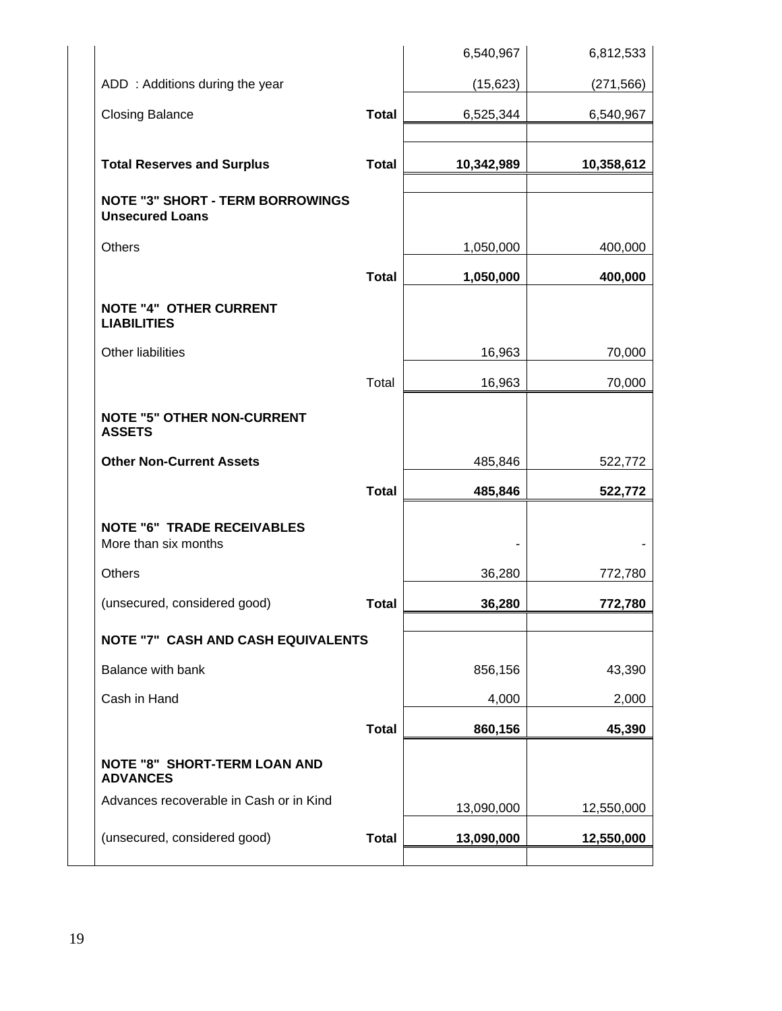|                                                                   |              | 6,540,967  | 6,812,533  |
|-------------------------------------------------------------------|--------------|------------|------------|
| ADD: Additions during the year                                    |              | (15, 623)  | (271, 566) |
| <b>Closing Balance</b>                                            | <b>Total</b> | 6,525,344  | 6,540,967  |
|                                                                   |              |            |            |
| <b>Total Reserves and Surplus</b>                                 | <b>Total</b> | 10,342,989 | 10,358,612 |
| <b>NOTE "3" SHORT - TERM BORROWINGS</b><br><b>Unsecured Loans</b> |              |            |            |
| Others                                                            |              | 1,050,000  | 400,000    |
|                                                                   | <b>Total</b> | 1,050,000  | 400,000    |
| <b>NOTE "4" OTHER CURRENT</b><br><b>LIABILITIES</b>               |              |            |            |
| Other liabilities                                                 |              | 16,963     | 70,000     |
|                                                                   | Total        | 16,963     | 70,000     |
| <b>NOTE "5" OTHER NON-CURRENT</b><br><b>ASSETS</b>                |              |            |            |
| <b>Other Non-Current Assets</b>                                   |              | 485,846    | 522,772    |
|                                                                   | <b>Total</b> | 485,846    | 522,772    |
| <b>NOTE "6" TRADE RECEIVABLES</b><br>More than six months         |              |            |            |
| <b>Others</b>                                                     |              | 36,280     | 772,780    |
| (unsecured, considered good)                                      | <b>Total</b> | 36,280     | 772,780    |
| <b>NOTE "7" CASH AND CASH EQUIVALENTS</b>                         |              |            |            |
| Balance with bank                                                 |              | 856,156    | 43,390     |
| Cash in Hand                                                      |              | 4,000      | 2,000      |
|                                                                   | <b>Total</b> | 860,156    | 45,390     |
| <b>NOTE "8" SHORT-TERM LOAN AND</b><br><b>ADVANCES</b>            |              |            |            |
| Advances recoverable in Cash or in Kind                           |              | 13,090,000 | 12,550,000 |
| (unsecured, considered good)                                      | <b>Total</b> | 13,090,000 | 12,550,000 |
|                                                                   |              |            |            |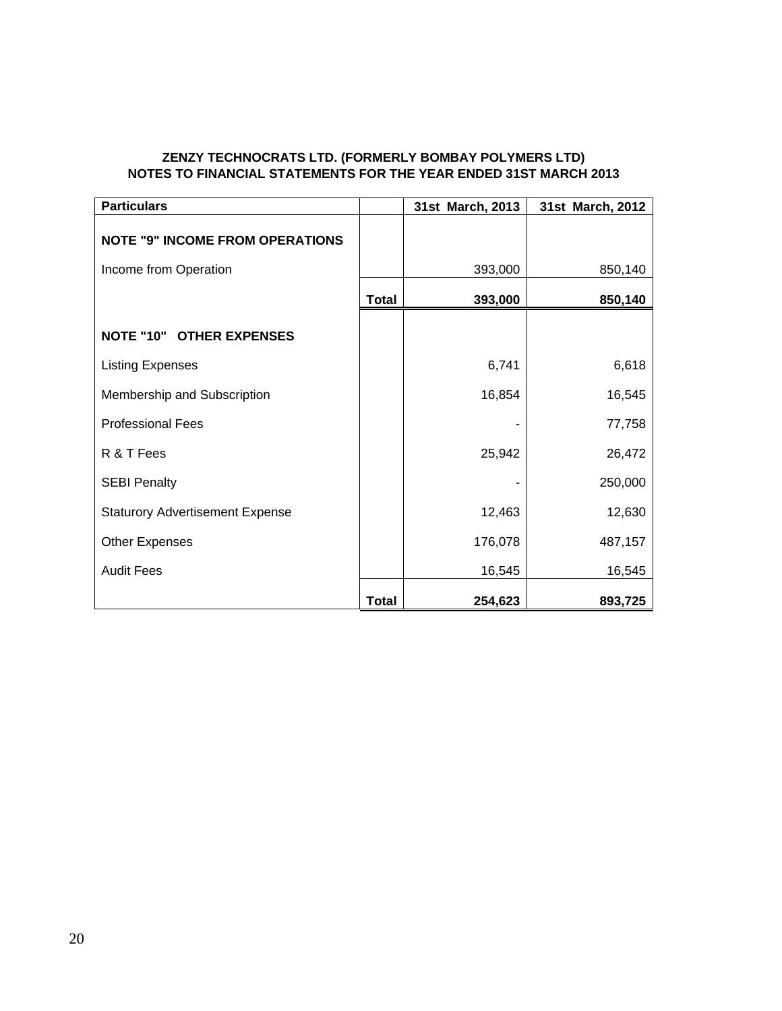#### **ZENZY TECHNOCRATS LTD. (FORMERLY BOMBAY POLYMERS LTD) NOTES TO FINANCIAL STATEMENTS FOR THE YEAR ENDED 31ST MARCH 2013**

| <b>Particulars</b>                     |              | 31st March, 2013 | 31st March, 2012 |
|----------------------------------------|--------------|------------------|------------------|
| <b>NOTE "9" INCOME FROM OPERATIONS</b> |              |                  |                  |
| Income from Operation                  |              | 393,000          | 850,140          |
|                                        | <b>Total</b> | 393,000          | 850,140          |
| <b>NOTE "10" OTHER EXPENSES</b>        |              |                  |                  |
| <b>Listing Expenses</b>                |              | 6,741            | 6,618            |
| Membership and Subscription            |              | 16,854           | 16,545           |
| <b>Professional Fees</b>               |              |                  | 77,758           |
| R & T Fees                             |              | 25,942           | 26,472           |
| <b>SEBI Penalty</b>                    |              |                  | 250,000          |
| <b>Staturory Advertisement Expense</b> |              | 12,463           | 12,630           |
| <b>Other Expenses</b>                  |              | 176,078          | 487,157          |
| <b>Audit Fees</b>                      |              | 16,545           | 16,545           |
|                                        | <b>Total</b> | 254,623          | 893,725          |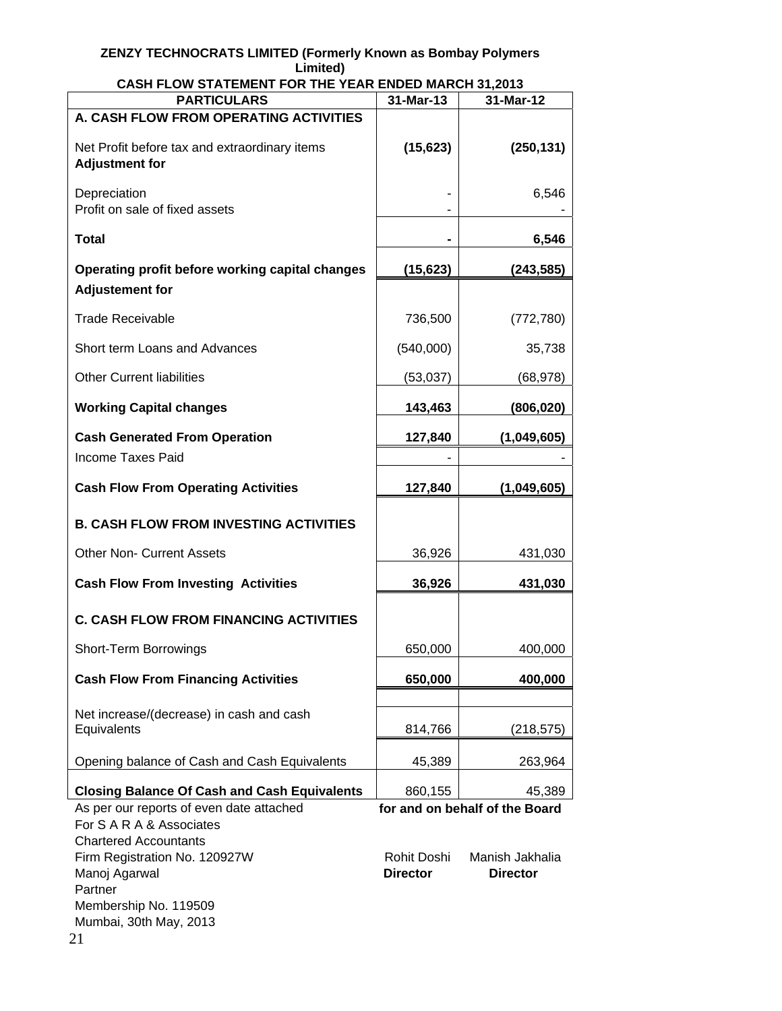#### **ZENZY TECHNOCRATS LIMITED (Formerly Known as Bombay Polymers Limited)**

| <b>PARTICULARS</b>                                                                                   | 31-Mar-13                      | 31-Mar-12                          |
|------------------------------------------------------------------------------------------------------|--------------------------------|------------------------------------|
| A. CASH FLOW FROM OPERATING ACTIVITIES                                                               |                                |                                    |
| Net Profit before tax and extraordinary items<br><b>Adjustment for</b>                               | (15, 623)                      | (250, 131)                         |
| Depreciation<br>Profit on sale of fixed assets                                                       |                                | 6,546                              |
| <b>Total</b>                                                                                         |                                | 6,546                              |
| Operating profit before working capital changes<br><b>Adjustement for</b>                            | (15, 623)                      | (243,585)                          |
| <b>Trade Receivable</b>                                                                              | 736,500                        | (772, 780)                         |
| Short term Loans and Advances                                                                        | (540,000)                      | 35,738                             |
| <b>Other Current liabilities</b>                                                                     | (53,037)                       | (68, 978)                          |
| <b>Working Capital changes</b>                                                                       | 143,463                        | (806, 020)                         |
| <b>Cash Generated From Operation</b>                                                                 | 127,840                        | (1,049,605)                        |
| <b>Income Taxes Paid</b>                                                                             |                                |                                    |
| <b>Cash Flow From Operating Activities</b>                                                           | 127,840                        | (1,049,605)                        |
| <b>B. CASH FLOW FROM INVESTING ACTIVITIES</b>                                                        |                                |                                    |
| <b>Other Non- Current Assets</b>                                                                     | 36,926                         | 431,030                            |
| <b>Cash Flow From Investing Activities</b>                                                           | 36,926                         | 431,030                            |
| <b>C. CASH FLOW FROM FINANCING ACTIVITIES</b>                                                        |                                |                                    |
| <b>Short-Term Borrowings</b>                                                                         | 650,000                        | 400,000                            |
| <b>Cash Flow From Financing Activities</b>                                                           | 650,000                        | 400,000                            |
| Net increase/(decrease) in cash and cash                                                             |                                |                                    |
| Equivalents                                                                                          | 814,766                        | (218, 575)                         |
| Opening balance of Cash and Cash Equivalents                                                         | 45,389                         | 263,964                            |
| <b>Closing Balance Of Cash and Cash Equivalents</b>                                                  | 860,155                        | 45,389                             |
| As per our reports of even date attached<br>For S A R A & Associates<br><b>Chartered Accountants</b> |                                | for and on behalf of the Board     |
| Firm Registration No. 120927W<br>Manoj Agarwal<br>Partner<br>Membership No. 119509                   | Rohit Doshi<br><b>Director</b> | Manish Jakhalia<br><b>Director</b> |
| Mumbai, 30th May, 2013                                                                               |                                |                                    |

**CASH FLOW STATEMENT FOR THE YEAR ENDED MARCH 31,2013**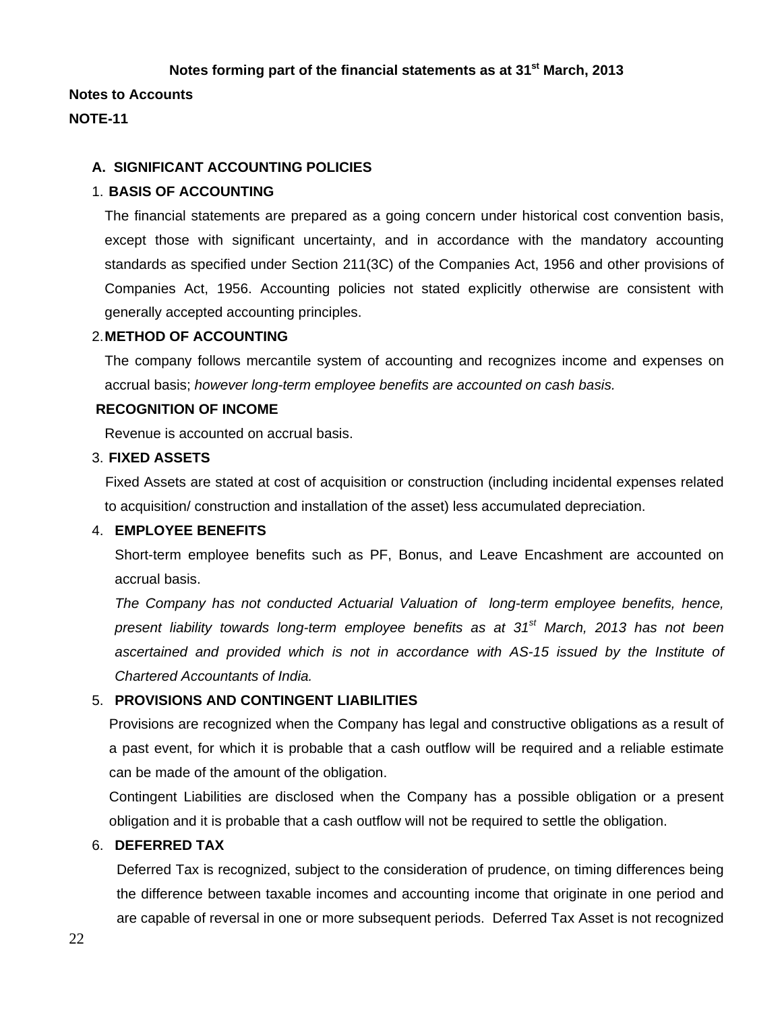#### **Notes forming part of the financial statements as at 31st March, 2013**

**Notes to Accounts** 

#### **NOTE-11**

#### **A. SIGNIFICANT ACCOUNTING POLICIES**

#### 1. **BASIS OF ACCOUNTING**

The financial statements are prepared as a going concern under historical cost convention basis, except those with significant uncertainty, and in accordance with the mandatory accounting standards as specified under Section 211(3C) of the Companies Act, 1956 and other provisions of Companies Act, 1956. Accounting policies not stated explicitly otherwise are consistent with generally accepted accounting principles.

#### 2. **METHOD OF ACCOUNTING**

The company follows mercantile system of accounting and recognizes income and expenses on accrual basis; *however long-term employee benefits are accounted on cash basis.* 

# **RECOGNITION OF INCOME**

Revenue is accounted on accrual basis.

#### 3. **FIXED ASSETS**

Fixed Assets are stated at cost of acquisition or construction (including incidental expenses related to acquisition/ construction and installation of the asset) less accumulated depreciation.

#### 4. **EMPLOYEE BENEFITS**

Short-term employee benefits such as PF, Bonus, and Leave Encashment are accounted on accrual basis.

*The Company has not conducted Actuarial Valuation of long-term employee benefits, hence, present liability towards long-term employee benefits as at 31st March, 2013 has not been*  ascertained and provided which is not in accordance with AS-15 issued by the Institute of *Chartered Accountants of India.* 

#### 5. **PROVISIONS AND CONTINGENT LIABILITIES**

Provisions are recognized when the Company has legal and constructive obligations as a result of a past event, for which it is probable that a cash outflow will be required and a reliable estimate can be made of the amount of the obligation.

Contingent Liabilities are disclosed when the Company has a possible obligation or a present obligation and it is probable that a cash outflow will not be required to settle the obligation.

#### 6. **DEFERRED TAX**

Deferred Tax is recognized, subject to the consideration of prudence, on timing differences being the difference between taxable incomes and accounting income that originate in one period and are capable of reversal in one or more subsequent periods. Deferred Tax Asset is not recognized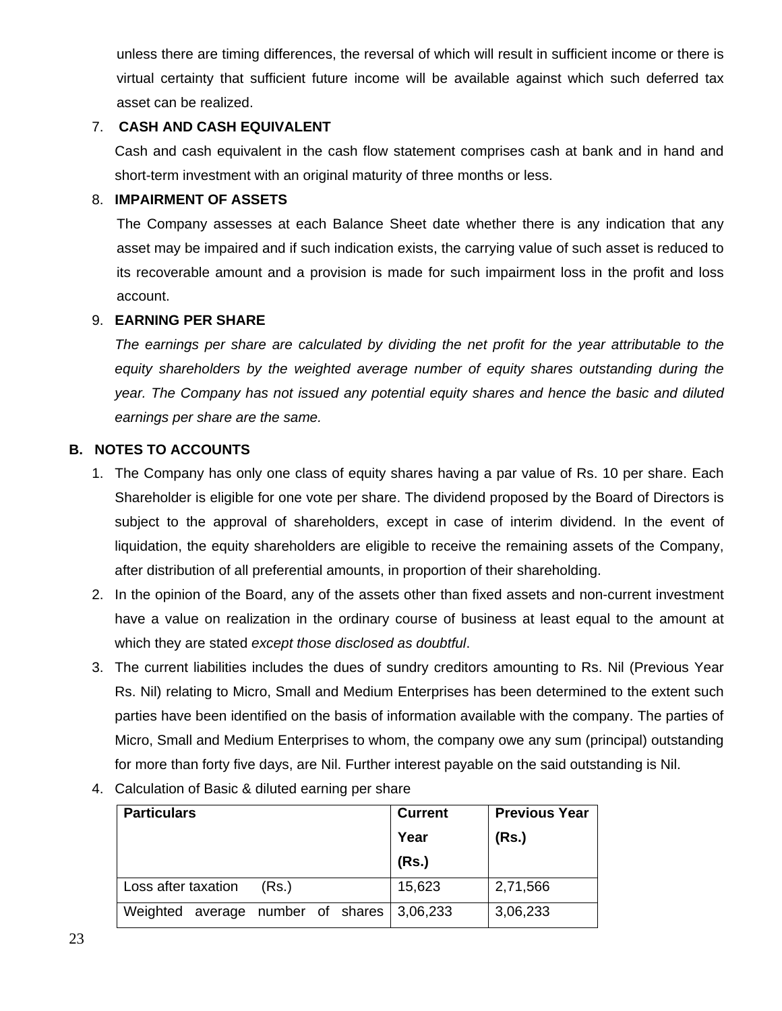unless there are timing differences, the reversal of which will result in sufficient income or there is virtual certainty that sufficient future income will be available against which such deferred tax asset can be realized.

# 7. **CASH AND CASH EQUIVALENT**

Cash and cash equivalent in the cash flow statement comprises cash at bank and in hand and short-term investment with an original maturity of three months or less.

## 8. **IMPAIRMENT OF ASSETS**

The Company assesses at each Balance Sheet date whether there is any indication that any asset may be impaired and if such indication exists, the carrying value of such asset is reduced to its recoverable amount and a provision is made for such impairment loss in the profit and loss account.

# 9. **EARNING PER SHARE**

The earnings per share are calculated by dividing the net profit for the year attributable to the *equity shareholders by the weighted average number of equity shares outstanding during the year. The Company has not issued any potential equity shares and hence the basic and diluted earnings per share are the same.* 

# **B. NOTES TO ACCOUNTS**

- 1. The Company has only one class of equity shares having a par value of Rs. 10 per share. Each Shareholder is eligible for one vote per share. The dividend proposed by the Board of Directors is subject to the approval of shareholders, except in case of interim dividend. In the event of liquidation, the equity shareholders are eligible to receive the remaining assets of the Company, after distribution of all preferential amounts, in proportion of their shareholding.
- 2. In the opinion of the Board, any of the assets other than fixed assets and non-current investment have a value on realization in the ordinary course of business at least equal to the amount at which they are stated *except those disclosed as doubtful*.
- 3. The current liabilities includes the dues of sundry creditors amounting to Rs. Nil (Previous Year Rs. Nil) relating to Micro, Small and Medium Enterprises has been determined to the extent such parties have been identified on the basis of information available with the company. The parties of Micro, Small and Medium Enterprises to whom, the company owe any sum (principal) outstanding for more than forty five days, are Nil. Further interest payable on the said outstanding is Nil.
- 4. Calculation of Basic & diluted earning per share

| <b>Particulars</b>  |       |  | <b>Current</b>                    | <b>Previous Year</b> |
|---------------------|-------|--|-----------------------------------|----------------------|
|                     |       |  | Year                              | (Rs.)                |
|                     |       |  | (Rs.)                             |                      |
| Loss after taxation | (Rs.) |  | 15,623                            | 2,71,566             |
| Weighted            |       |  | average number of shares 3,06,233 | 3,06,233             |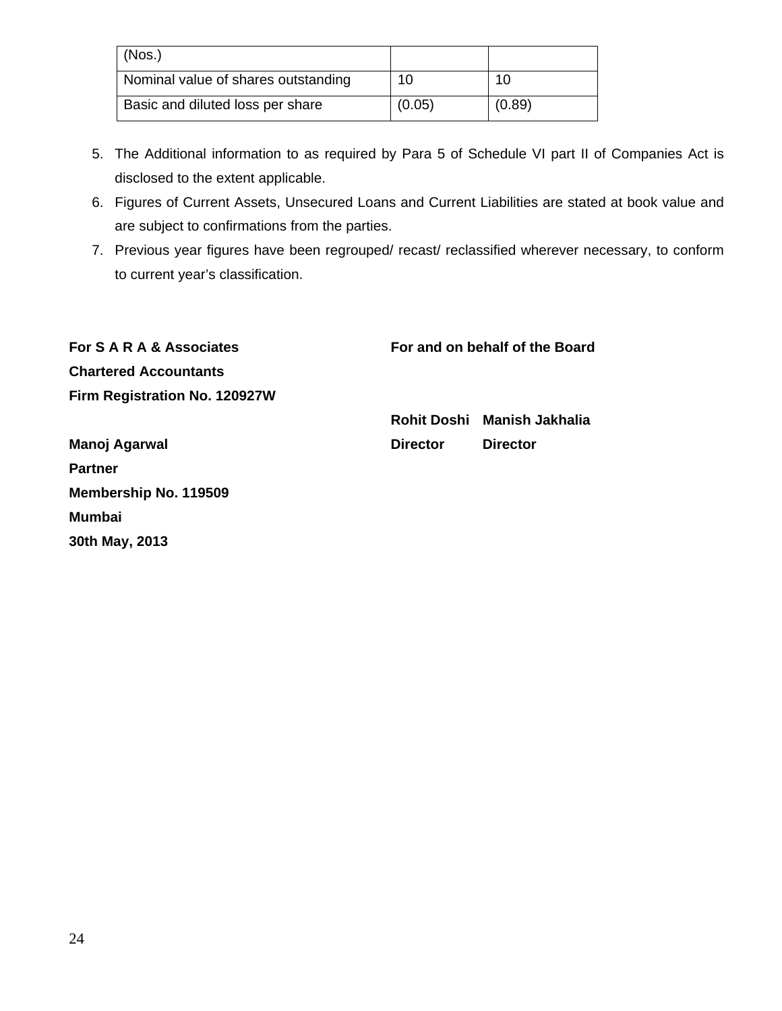| (Nos.)                              |        |        |
|-------------------------------------|--------|--------|
| Nominal value of shares outstanding | 10     | 10     |
| Basic and diluted loss per share    | (0.05) | (0.89) |

- 5. The Additional information to as required by Para 5 of Schedule VI part II of Companies Act is disclosed to the extent applicable.
- 6. Figures of Current Assets, Unsecured Loans and Current Liabilities are stated at book value and are subject to confirmations from the parties.
- 7. Previous year figures have been regrouped/ recast/ reclassified wherever necessary, to conform to current year's classification.

| For S A R A & Associates      | For and on behalf of the Board |                             |
|-------------------------------|--------------------------------|-----------------------------|
| <b>Chartered Accountants</b>  |                                |                             |
| Firm Registration No. 120927W |                                |                             |
|                               |                                | Rohit Doshi Manish Jakhalia |
| Manoj Agarwal                 | <b>Director</b>                | <b>Director</b>             |
| <b>Partner</b>                |                                |                             |
| Membership No. 119509         |                                |                             |
| <b>Mumbai</b>                 |                                |                             |
| 30th May, 2013                |                                |                             |
|                               |                                |                             |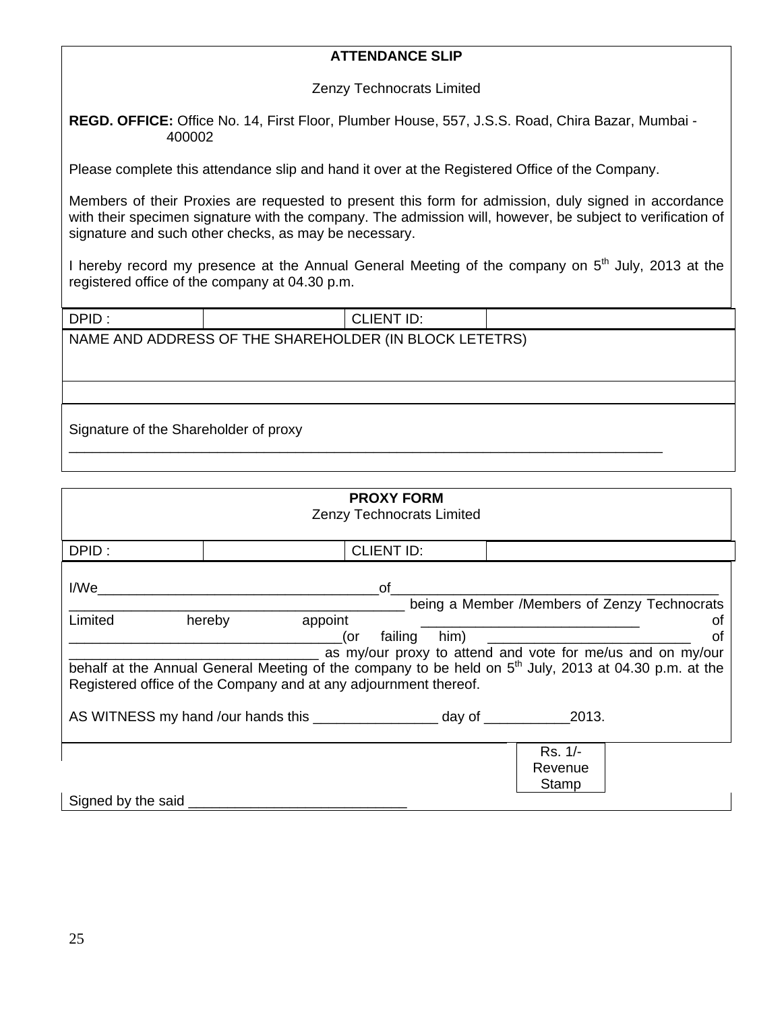# **ATTENDANCE SLIP**

Zenzy Technocrats Limited

**REGD. OFFICE:** Office No. 14, First Floor, Plumber House, 557, J.S.S. Road, Chira Bazar, Mumbai - 400002

Please complete this attendance slip and hand it over at the Registered Office of the Company.

Members of their Proxies are requested to present this form for admission, duly signed in accordance with their specimen signature with the company. The admission will, however, be subject to verification of signature and such other checks, as may be necessary.

I hereby record my presence at the Annual General Meeting of the company on 5<sup>th</sup> July, 2013 at the registered office of the company at 04.30 p.m.

| DPID:                                                  |  | <b>CLIENT ID:</b> |  |
|--------------------------------------------------------|--|-------------------|--|
| NAME AND ADDRESS OF THE SHAREHOLDER (IN BLOCK LETETRS) |  |                   |  |
|                                                        |  |                   |  |
|                                                        |  |                   |  |
| Signature of the Shareholder of proxy                  |  |                   |  |

| <b>PROXY FORM</b><br><b>Zenzy Technocrats Limited</b>                                                                                                                                                                                                                                                                                                                                                                                                                                                                                                                                                               |  |                   |  |                             |  |
|---------------------------------------------------------------------------------------------------------------------------------------------------------------------------------------------------------------------------------------------------------------------------------------------------------------------------------------------------------------------------------------------------------------------------------------------------------------------------------------------------------------------------------------------------------------------------------------------------------------------|--|-------------------|--|-----------------------------|--|
| DPID:                                                                                                                                                                                                                                                                                                                                                                                                                                                                                                                                                                                                               |  | <b>CLIENT ID:</b> |  |                             |  |
| I/We are a series of the contract of the contract of the contract of the contract of the contract of the contract of the contract of the contract of the contract of the contract of the contract of the contract of the contr<br>of<br>being a Member /Members of Zenzy Technocrats<br>hereby<br>appoint<br>Limited<br>οt<br>_____(or failing him) __<br>οf<br>as my/our proxy to attend and vote for me/us and on my/our<br>behalf at the Annual General Meeting of the company to be held on 5 <sup>th</sup> July, 2013 at 04.30 p.m. at the<br>Registered office of the Company and at any adjournment thereof. |  |                   |  |                             |  |
|                                                                                                                                                                                                                                                                                                                                                                                                                                                                                                                                                                                                                     |  |                   |  |                             |  |
| Signed by the said                                                                                                                                                                                                                                                                                                                                                                                                                                                                                                                                                                                                  |  |                   |  | Rs. 1/-<br>Revenue<br>Stamp |  |